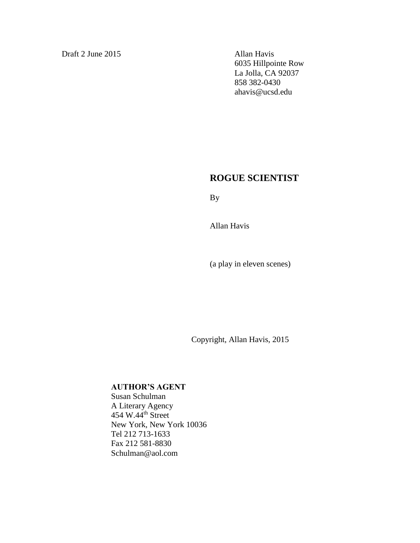Draft 2 June 2015 Allan Havis

6035 Hillpointe Row La Jolla, CA 92037 858 382-0430 ahavis@ucsd.edu

# **ROGUE SCIENTIST**

By

Allan Havis

(a play in eleven scenes)

Copyright, Allan Havis, 2015

## **AUTHOR'S AGENT**

Susan Schulman A Literary Agency 454 W.44<sup>th</sup> Street New York, New York 10036 Tel 212 713-1633 Fax 212 581-8830 Schulman@aol.com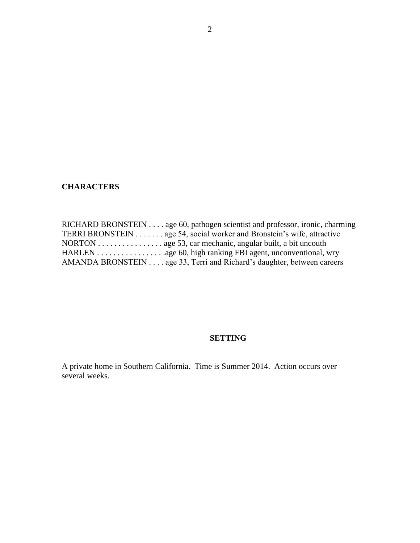# **CHARACTERS**

| RICHARD BRONSTEIN age 60, pathogen scientist and professor, ironic, charming        |
|-------------------------------------------------------------------------------------|
| TERRI BRONSTEIN age 54, social worker and Bronstein's wife, attractive              |
| NORTON $\dots \dots \dots \dots$ age 53, car mechanic, angular built, a bit uncouth |
|                                                                                     |
| AMANDA BRONSTEIN age 33, Terri and Richard's daughter, between careers              |

## **SETTING**

A private home in Southern California. Time is Summer 2014. Action occurs over several weeks.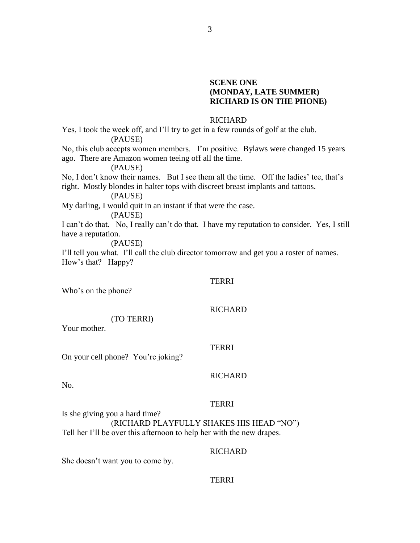## **SCENE ONE (MONDAY, LATE SUMMER) RICHARD IS ON THE PHONE)**

## RICHARD

Yes, I took the week off, and I'll try to get in a few rounds of golf at the club. (PAUSE)

No, this club accepts women members. I'm positive. Bylaws were changed 15 years ago. There are Amazon women teeing off all the time.

(PAUSE)

No, I don't know their names. But I see them all the time. Off the ladies' tee, that's right. Mostly blondes in halter tops with discreet breast implants and tattoos.

(PAUSE)

My darling, I would quit in an instant if that were the case.

(PAUSE)

I can't do that. No, I really can't do that. I have my reputation to consider. Yes, I still have a reputation.

(PAUSE)

I'll tell you what. I'll call the club director tomorrow and get you a roster of names. How's that? Happy?

#### TERRI

Who's on the phone?

# **RICHARD**

Your mother.

#### TERRI

On your cell phone? You're joking?

(TO TERRI)

## **RICHARD**

No.

## **TERRI**

Is she giving you a hard time? (RICHARD PLAYFULLY SHAKES HIS HEAD "NO") Tell her I'll be over this afternoon to help her with the new drapes.

## **RICHARD**

She doesn't want you to come by.

## TERRI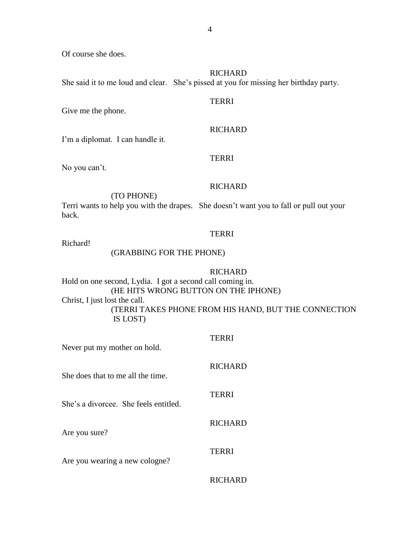Of course she does.

## **RICHARD**

She said it to me loud and clear. She's pissed at you for missing her birthday party.

## TERRI

Give me the phone.

## **RICHARD**

I'm a diplomat. I can handle it.

## TERRI

No you can't.

## **RICHARD**

(TO PHONE)

Terri wants to help you with the drapes. She doesn't want you to fall or pull out your back.

## TERRI

Richard!

## (GRABBING FOR THE PHONE)

#### RICHARD

RICHARD

Hold on one second, Lydia. I got a second call coming in. (HE HITS WRONG BUTTON ON THE IPHONE) Christ, I just lost the call. (TERRI TAKES PHONE FROM HIS HAND, BUT THE CONNECTION IS LOST)

| Never put my mother on hold.          | TERRI          |
|---------------------------------------|----------------|
| She does that to me all the time.     | <b>RICHARD</b> |
| She's a divorcee. She feels entitled. | <b>TERRI</b>   |
| Are you sure?                         | <b>RICHARD</b> |
| Are you wearing a new cologne?        | TERRI          |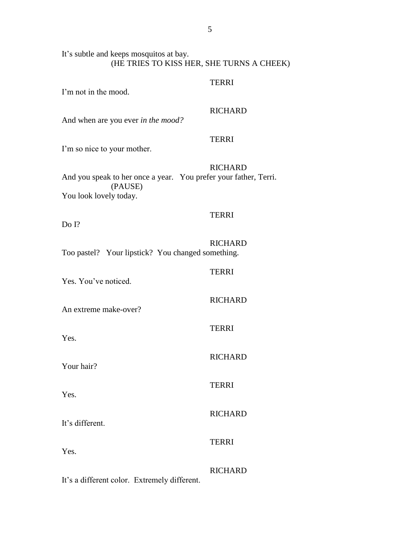#### TERRI

I'm not in the mood.

## RICHARD

And when are you ever *in the mood?*

## TERRI

I'm so nice to your mother.

## **RICHARD**

And you speak to her once a year. You prefer your father, Terri. (PAUSE) You look lovely today.

## **TERRI**

Do I?

# **RICHARD**

TERRI

TERRI

TERRI

TERRI

**RICHARD** 

**RICHARD** 

RICHARD

Too pastel? Your lipstick? You changed something.

Yes. You've noticed.

An extreme make-over?

Yes.

Your hair?

Yes.

It's different.

Yes.

## **RICHARD**

It's a different color. Extremely different.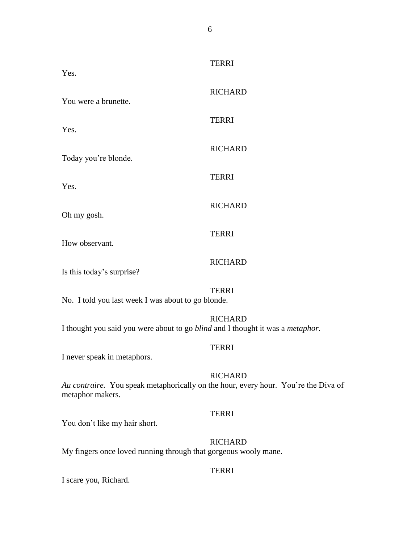TERRI Yes. **RICHARD** You were a brunette. TERRI Yes. RICHARD Today you're blonde. TERRI Yes. **RICHARD** Oh my gosh. **TERRI** How observant. **RICHARD** Is this today's surprise? TERRI No. I told you last week I was about to go blonde.

RICHARD I thought you said you were about to go *blind* and I thought it was a *metaphor.*

## TERRI

I never speak in metaphors.

## **RICHARD**

*Au contraire.* You speak metaphorically on the hour, every hour. You're the Diva of metaphor makers.

## TERRI

You don't like my hair short.

## **RICHARD**

My fingers once loved running through that gorgeous wooly mane.

## TERRI

I scare you, Richard.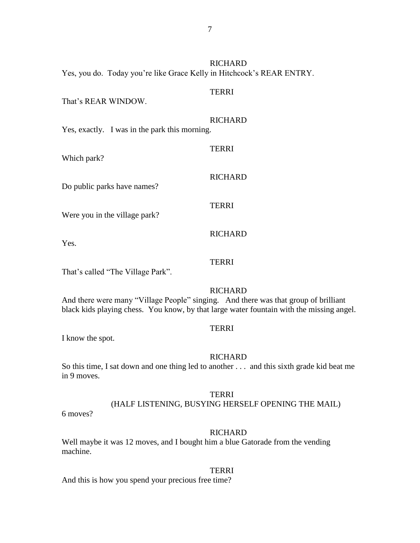| Yes, you do. Today you're like Grace Kelly in Hitchcock's REAR ENTRY. | <b>RICHARD</b> |
|-----------------------------------------------------------------------|----------------|
| That's REAR WINDOW.                                                   | <b>TERRI</b>   |
| Yes, exactly. I was in the park this morning.                         | <b>RICHARD</b> |
| Which park?                                                           | <b>TERRI</b>   |
| Do public parks have names?                                           | <b>RICHARD</b> |
| Were you in the village park?                                         | <b>TERRI</b>   |
| Yes.                                                                  | <b>RICHARD</b> |
|                                                                       | TERRI          |

That's called "The Village Park".

## **RICHARD**

And there were many "Village People" singing. And there was that group of brilliant black kids playing chess. You know, by that large water fountain with the missing angel.

## TERRI

I know the spot.

#### **RICHARD**

So this time, I sat down and one thing led to another . . . and this sixth grade kid beat me in 9 moves.

#### TERRI

## (HALF LISTENING, BUSYING HERSELF OPENING THE MAIL)

6 moves?

#### RICHARD

Well maybe it was 12 moves, and I bought him a blue Gatorade from the vending machine.

#### **TERRI**

And this is how you spend your precious free time?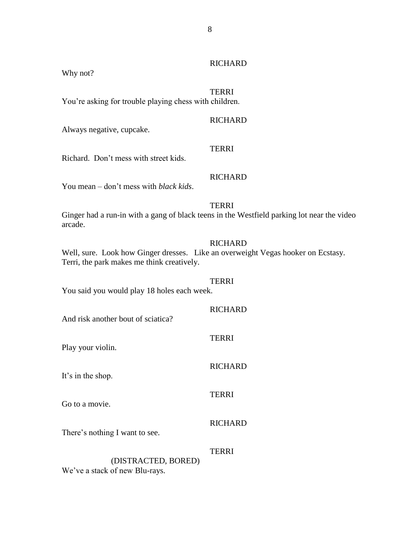## **RICHARD**

Why not?

## TERRI

You're asking for trouble playing chess with children.

## **RICHARD**

Always negative, cupcake.

**TERRI** 

Richard. Don't mess with street kids.

## **RICHARD**

You mean – don't mess with *black kids*.

## **TERRI**

Ginger had a run-in with a gang of black teens in the Westfield parking lot near the video arcade.

## **RICHARD**

**RICHARD** 

**RICHARD** 

TERRI

Well, sure. Look how Ginger dresses. Like an overweight Vegas hooker on Ecstasy. Terri, the park makes me think creatively.

TERRI You said you would play 18 holes each week.

And risk another bout of sciatica?

Play your violin.

It's in the shop.

Go to a movie.

**RICHARD** 

TERRI

There's nothing I want to see.

## TERRI (DISTRACTED, BORED) We've a stack of new Blu-rays.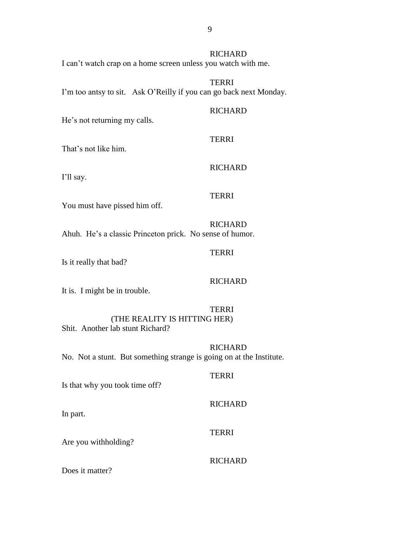I can't watch crap on a home screen unless you watch with me.

## TERRI I'm too antsy to sit. Ask O'Reilly if you can go back next Monday.

#### **RICHARD**

**RICHARD** 

He's not returning my calls.

#### TERRI

That's not like him.

I'll say.

# TERRI

RICHARD

You must have pissed him off.

# **RICHARD**

Ahuh. He's a classic Princeton prick. No sense of humor.

## TERRI

Is it really that bad?

## **RICHARD**

It is. I might be in trouble.

# TERRI

(THE REALITY IS HITTING HER)

Shit. Another lab stunt Richard?

## RICHARD

No. Not a stunt. But something strange is going on at the Institute.

## **TERRI**

Is that why you took time off?

## **RICHARD**

In part.

## TERRI

Are you withholding?

## **RICHARD**

Does it matter?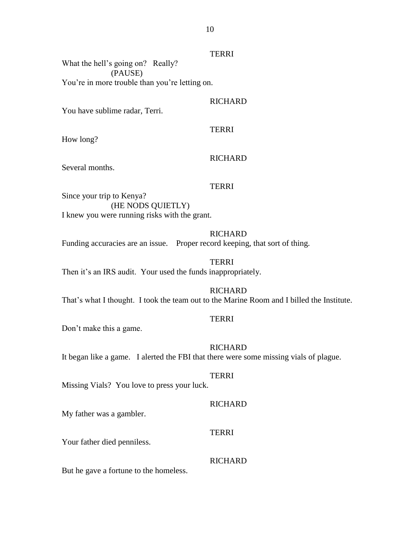## TERRI

What the hell's going on? Really? (PAUSE) You're in more trouble than you're letting on.

## **RICHARD**

You have sublime radar, Terri.

How long?

## RICHARD

TERRI

Several months.

#### TERRI

Since your trip to Kenya? (HE NODS QUIETLY) I knew you were running risks with the grant.

#### RICHARD

Funding accuracies are an issue. Proper record keeping, that sort of thing.

**TERRI** Then it's an IRS audit. Your used the funds inappropriately.

**RICHARD** That's what I thought. I took the team out to the Marine Room and I billed the Institute.

## TERRI

Don't make this a game.

#### **RICHARD**

It began like a game. I alerted the FBI that there were some missing vials of plague.

## **TERRI**

Missing Vials? You love to press your luck.

#### **RICHARD**

My father was a gambler.

#### TERRI

Your father died penniless.

#### **RICHARD**

But he gave a fortune to the homeless.

10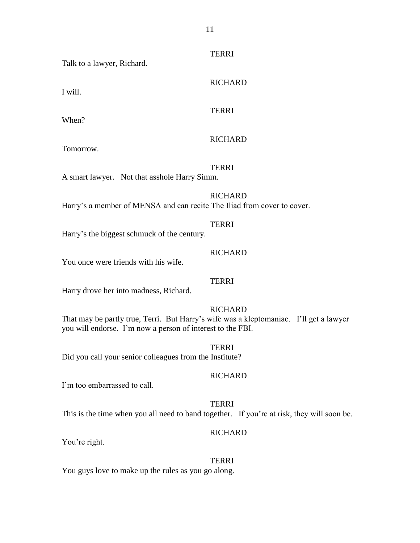**TERRI** 

RICHARD

Talk to a lawyer, Richard.

I will.

When?

**TERRI** 

# RICHARD

Tomorrow.

## **TERRI**

A smart lawyer. Not that asshole Harry Simm.

# **RICHARD**

Harry's a member of MENSA and can recite The Iliad from cover to cover.

## TERRI

Harry's the biggest schmuck of the century.

## **RICHARD**

TERRI

You once were friends with his wife.

Harry drove her into madness, Richard.

## **RICHARD**

That may be partly true, Terri. But Harry's wife was a kleptomaniac. I'll get a lawyer you will endorse. I'm now a person of interest to the FBI.

TERRI Did you call your senior colleagues from the Institute?

## **RICHARD**

I'm too embarrassed to call.

## **TERRI**

This is the time when you all need to band together. If you're at risk, they will soon be.

## RICHARD

You're right.

## TERRI

You guys love to make up the rules as you go along.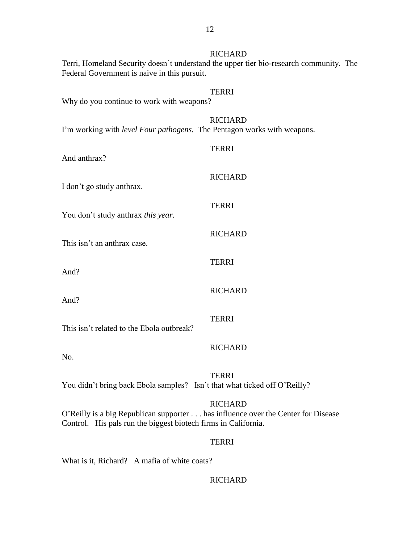| Federal Government is naive in this pursuit.                                                                                                       | <b>RICHARD</b><br>Terri, Homeland Security doesn't understand the upper tier bio-research community. The |  |
|----------------------------------------------------------------------------------------------------------------------------------------------------|----------------------------------------------------------------------------------------------------------|--|
| Why do you continue to work with weapons?                                                                                                          | <b>TERRI</b>                                                                                             |  |
| I'm working with <i>level Four pathogens</i> . The Pentagon works with weapons.                                                                    | <b>RICHARD</b>                                                                                           |  |
| And anthrax?                                                                                                                                       | <b>TERRI</b>                                                                                             |  |
| I don't go study anthrax.                                                                                                                          | <b>RICHARD</b>                                                                                           |  |
| You don't study anthrax this year.                                                                                                                 | <b>TERRI</b>                                                                                             |  |
| This isn't an anthrax case.                                                                                                                        | <b>RICHARD</b>                                                                                           |  |
| And?                                                                                                                                               | <b>TERRI</b>                                                                                             |  |
| And?                                                                                                                                               | <b>RICHARD</b>                                                                                           |  |
| This isn't related to the Ebola outbreak?                                                                                                          | <b>TERRI</b>                                                                                             |  |
| No.                                                                                                                                                | <b>RICHARD</b>                                                                                           |  |
| You didn't bring back Ebola samples? Isn't that what ticked off O'Reilly?                                                                          | <b>TERRI</b>                                                                                             |  |
| O'Reilly is a big Republican supporter has influence over the Center for Disease<br>Control. His pals run the biggest biotech firms in California. | <b>RICHARD</b>                                                                                           |  |
|                                                                                                                                                    | <b>TERRI</b>                                                                                             |  |

What is it, Richard? A mafia of white coats?

## RICHARD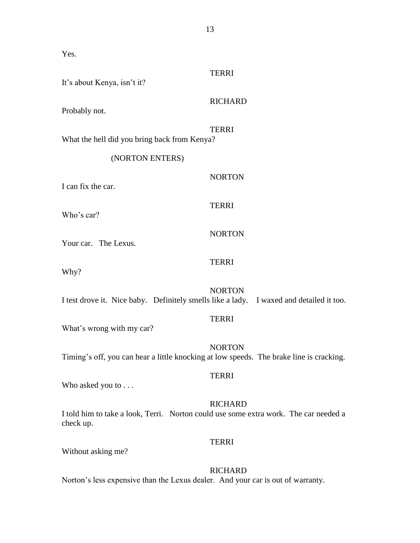Yes.

| It's about Kenya, isn't it?                                                                       | <b>TERRI</b>   |
|---------------------------------------------------------------------------------------------------|----------------|
| Probably not.                                                                                     | <b>RICHARD</b> |
| What the hell did you bring back from Kenya?                                                      | <b>TERRI</b>   |
| (NORTON ENTERS)                                                                                   |                |
| I can fix the car.                                                                                | <b>NORTON</b>  |
| Who's car?                                                                                        | <b>TERRI</b>   |
| Your car. The Lexus.                                                                              | <b>NORTON</b>  |
| Why?                                                                                              | <b>TERRI</b>   |
| I test drove it. Nice baby. Definitely smells like a lady. I waxed and detailed it too.           | <b>NORTON</b>  |
| What's wrong with my car?                                                                         | <b>TERRI</b>   |
| Timing's off, you can hear a little knocking at low speeds. The brake line is cracking.           | <b>NORTON</b>  |
| Who asked you to                                                                                  | <b>TERRI</b>   |
| I told him to take a look, Terri. Norton could use some extra work. The car needed a<br>check up. | <b>RICHARD</b> |
|                                                                                                   | <b>TERRI</b>   |

Without asking me?

# RICHARD

Norton's less expensive than the Lexus dealer. And your car is out of warranty.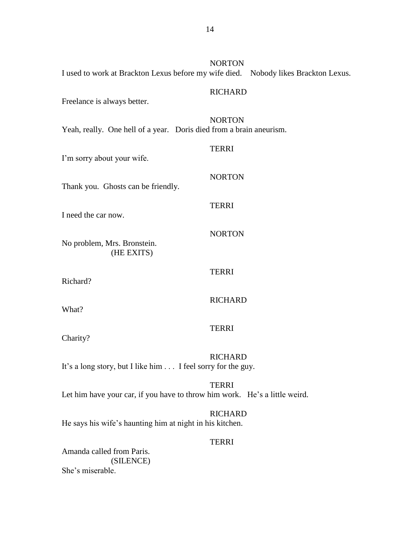| I used to work at Brackton Lexus before my wife died. Nobody likes Brackton Lexus. | <b>NORTON</b>  |
|------------------------------------------------------------------------------------|----------------|
| Freelance is always better.                                                        | <b>RICHARD</b> |
| Yeah, really. One hell of a year. Doris died from a brain aneurism.                | <b>NORTON</b>  |
| I'm sorry about your wife.                                                         | <b>TERRI</b>   |
| Thank you. Ghosts can be friendly.                                                 | <b>NORTON</b>  |
| I need the car now.                                                                | <b>TERRI</b>   |
| No problem, Mrs. Bronstein.<br>(HE EXITS)                                          | <b>NORTON</b>  |
| Richard?                                                                           | <b>TERRI</b>   |
| What?                                                                              | <b>RICHARD</b> |
| Charity?                                                                           | <b>TERRI</b>   |
| It's a long story, but I like him I feel sorry for the guy.                        | <b>RICHARD</b> |
| Let him have your car, if you have to throw him work. He's a little weird.         | <b>TERRI</b>   |
| He says his wife's haunting him at night in his kitchen.                           | <b>RICHARD</b> |
| Amanda called from Paris.<br>(SILENCE)                                             | <b>TERRI</b>   |

She's miserable.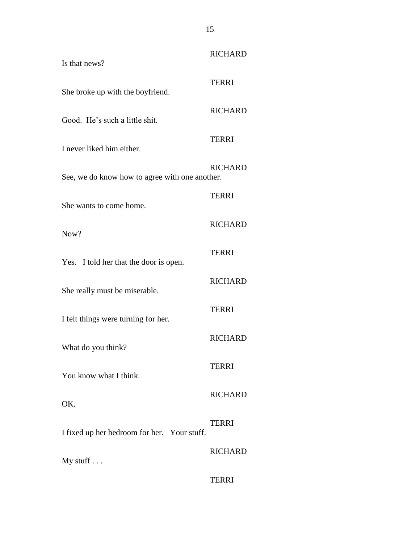| Is that news?                                  | <b>RICHARD</b> |
|------------------------------------------------|----------------|
| She broke up with the boyfriend.               | <b>TERRI</b>   |
| Good. He's such a little shit.                 | <b>RICHARD</b> |
| I never liked him either.                      | <b>TERRI</b>   |
| See, we do know how to agree with one another. | <b>RICHARD</b> |
|                                                | <b>TERRI</b>   |
| She wants to come home.                        | <b>RICHARD</b> |
| Now?                                           | <b>TERRI</b>   |
| Yes. I told her that the door is open.         |                |
| She really must be miserable.                  | <b>RICHARD</b> |
| I felt things were turning for her.            | <b>TERRI</b>   |
| What do you think?                             | <b>RICHARD</b> |
| You know what I think.                         | <b>TERRI</b>   |
| OK.                                            | <b>RICHARD</b> |
| I fixed up her bedroom for her. Your stuff.    | <b>TERRI</b>   |
| My stuff $\ldots$                              | <b>RICHARD</b> |
|                                                | <b>TERRI</b>   |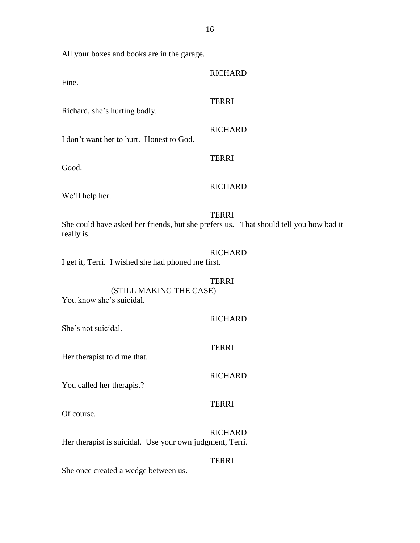All your boxes and books are in the garage.

| Fine.                                                                                               | <b>RICHARD</b> |
|-----------------------------------------------------------------------------------------------------|----------------|
| Richard, she's hurting badly.                                                                       | <b>TERRI</b>   |
| I don't want her to hurt. Honest to God.                                                            | <b>RICHARD</b> |
| Good.                                                                                               | <b>TERRI</b>   |
| We'll help her.                                                                                     | <b>RICHARD</b> |
| She could have asked her friends, but she prefers us. That should tell you how bad it<br>really is. | <b>TERRI</b>   |
| I get it, Terri. I wished she had phoned me first.                                                  | <b>RICHARD</b> |
| (STILL MAKING THE CASE)<br>You know she's suicidal.                                                 | <b>TERRI</b>   |
| She's not suicidal.                                                                                 | <b>RICHARD</b> |
| Her therapist told me that.                                                                         | <b>TERRI</b>   |
| You called her therapist?                                                                           | <b>RICHARD</b> |
| Of course.                                                                                          | <b>TERRI</b>   |
| Her therapist is suicidal. Use your own judgment, Terri.                                            | <b>RICHARD</b> |
| She once created a wedge between us.                                                                | <b>TERRI</b>   |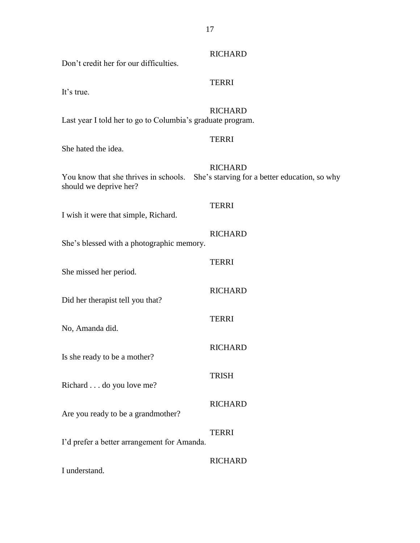| Don't credit her for our difficulties.                                                                        | <b>RICHARD</b> |
|---------------------------------------------------------------------------------------------------------------|----------------|
| It's true.                                                                                                    | <b>TERRI</b>   |
| Last year I told her to go to Columbia's graduate program.                                                    | <b>RICHARD</b> |
| She hated the idea.                                                                                           | <b>TERRI</b>   |
| You know that she thrives in schools. She's starving for a better education, so why<br>should we deprive her? | <b>RICHARD</b> |
| I wish it were that simple, Richard.                                                                          | <b>TERRI</b>   |
| She's blessed with a photographic memory.                                                                     | <b>RICHARD</b> |
| She missed her period.                                                                                        | <b>TERRI</b>   |
| Did her therapist tell you that?                                                                              | <b>RICHARD</b> |
| No, Amanda did.                                                                                               | <b>TERRI</b>   |
| Is she ready to be a mother?                                                                                  | <b>RICHARD</b> |
| Richard do you love me?                                                                                       | <b>TRISH</b>   |
| Are you ready to be a grandmother?                                                                            | <b>RICHARD</b> |
| I'd prefer a better arrangement for Amanda.                                                                   | <b>TERRI</b>   |
| I understand.                                                                                                 | <b>RICHARD</b> |

17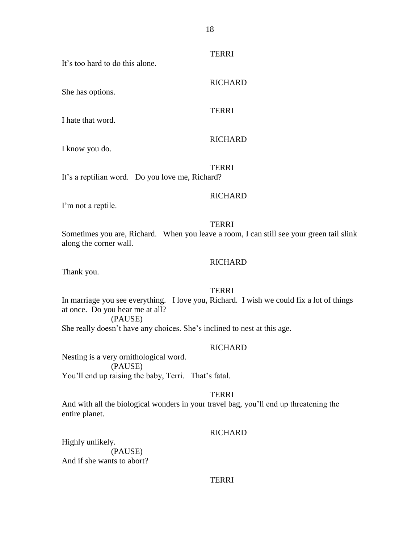It's too hard to do this alone.

She has options.

I hate that word.

#### RICHARD

RICHARD

I know you do.

**TERRI** It's a reptilian word. Do you love me, Richard?

#### **RICHARD**

I'm not a reptile.

#### **TERRI**

Sometimes you are, Richard. When you leave a room, I can still see your green tail slink along the corner wall.

## **RICHARD**

Thank you.

## **TERRI**

In marriage you see everything. I love you, Richard. I wish we could fix a lot of things at once. Do you hear me at all? (PAUSE)

She really doesn't have any choices. She's inclined to nest at this age.

#### **RICHARD**

Nesting is a very ornithological word. (PAUSE) You'll end up raising the baby, Terri. That's fatal.

#### **TERRI**

And with all the biological wonders in your travel bag, you'll end up threatening the entire planet.

#### RICHARD

Highly unlikely. (PAUSE) And if she wants to abort?

## **TERRI**

**TERRI** 

**TERRI**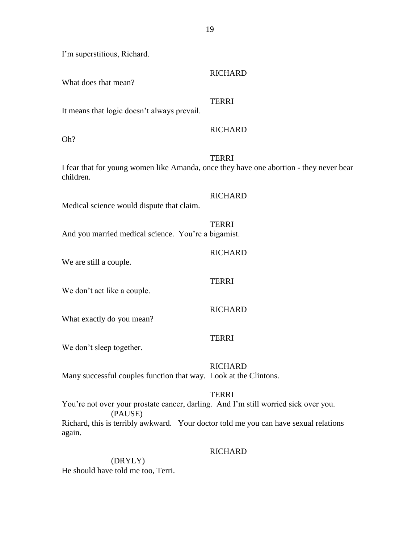| What does that mean?                                | <b>RICHARD</b>                                                                                         |
|-----------------------------------------------------|--------------------------------------------------------------------------------------------------------|
| It means that logic doesn't always prevail.         | <b>TERRI</b>                                                                                           |
| Oh?                                                 | <b>RICHARD</b>                                                                                         |
| children.                                           | <b>TERRI</b><br>I fear that for young women like Amanda, once they have one abortion - they never bear |
| Medical science would dispute that claim.           | <b>RICHARD</b>                                                                                         |
| And you married medical science. You're a bigamist. | <b>TERRI</b>                                                                                           |
| We are still a couple.                              | <b>RICHARD</b>                                                                                         |
| We don't act like a couple.                         | <b>TERRI</b>                                                                                           |

What exactly do you mean?

I'm superstitious, Richard.

## TERRI

**RICHARD** 

We don't sleep together.

## **RICHARD**

Many successful couples function that way. Look at the Clintons.

## **TERRI**

You're not over your prostate cancer, darling. And I'm still worried sick over you. (PAUSE) Richard, this is terribly awkward. Your doctor told me you can have sexual relations again.

## **RICHARD**

(DRYLY) He should have told me too, Terri.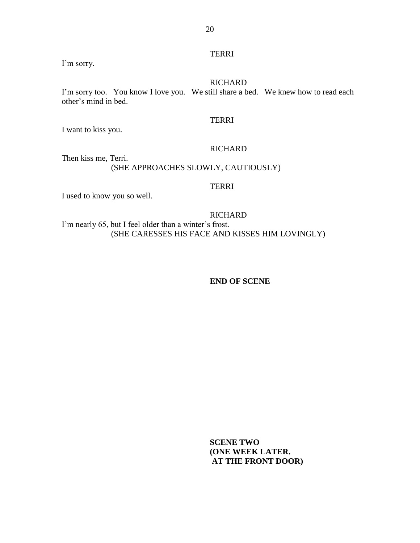## **TERRI**

I'm sorry.

#### RICHARD

I'm sorry too. You know I love you. We still share a bed. We knew how to read each other's mind in bed.

#### TERRI

I want to kiss you.

## **RICHARD**

Then kiss me, Terri. (SHE APPROACHES SLOWLY, CAUTIOUSLY)

## TERRI

I used to know you so well.

**RICHARD** 

I'm nearly 65, but I feel older than a winter's frost. (SHE CARESSES HIS FACE AND KISSES HIM LOVINGLY)

#### **END OF SCENE**

**SCENE TWO (ONE WEEK LATER. AT THE FRONT DOOR)**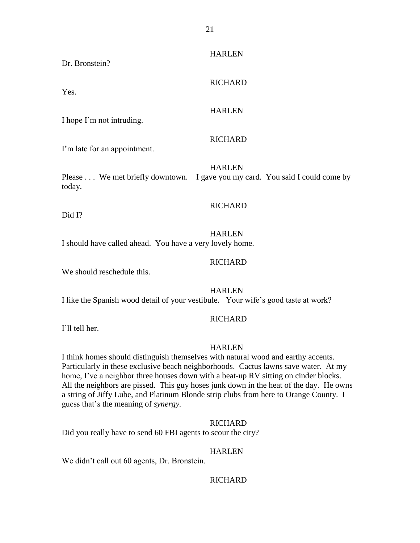Dr. Bronstein?

Yes.

RICHARD

#### **HARLEN**

I hope I'm not intruding.

## RICHARD

I'm late for an appointment.

HARLEN Please . . . We met briefly downtown. I gave you my card. You said I could come by today.

## RICHARD

Did I?

## HARLEN

I should have called ahead. You have a very lovely home.

## **RICHARD**

We should reschedule this.

## HARLEN

I like the Spanish wood detail of your vestibule. Your wife's good taste at work?

## RICHARD

I'll tell her.

## HARLEN

I think homes should distinguish themselves with natural wood and earthy accents. Particularly in these exclusive beach neighborhoods. Cactus lawns save water. At my home, I've a neighbor three houses down with a beat-up RV sitting on cinder blocks. All the neighbors are pissed. This guy hoses junk down in the heat of the day. He owns a string of Jiffy Lube, and Platinum Blonde strip clubs from here to Orange County. I guess that's the meaning of *synergy.*

## **RICHARD**

Did you really have to send 60 FBI agents to scour the city?

## HARLEN

We didn't call out 60 agents, Dr. Bronstein.

## **RICHARD**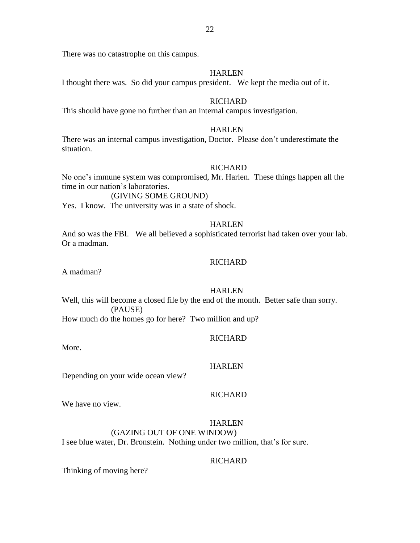There was no catastrophe on this campus.

#### **HARLEN**

I thought there was. So did your campus president. We kept the media out of it.

## **RICHARD**

This should have gone no further than an internal campus investigation.

#### HARLEN

There was an internal campus investigation, Doctor. Please don't underestimate the situation.

#### **RICHARD**

No one's immune system was compromised, Mr. Harlen. These things happen all the time in our nation's laboratories.

## (GIVING SOME GROUND)

Yes. I know. The university was in a state of shock.

#### **HARLEN**

And so was the FBI. We all believed a sophisticated terrorist had taken over your lab. Or a madman.

#### **RICHARD**

A madman?

## HARLEN

Well, this will become a closed file by the end of the month. Better safe than sorry. (PAUSE)

How much do the homes go for here? Two million and up?

#### **RICHARD**

More.

#### HARLEN

Depending on your wide ocean view?

## RICHARD

We have no view.

## HARLEN

#### (GAZING OUT OF ONE WINDOW)

I see blue water, Dr. Bronstein. Nothing under two million, that's for sure.

## **RICHARD**

Thinking of moving here?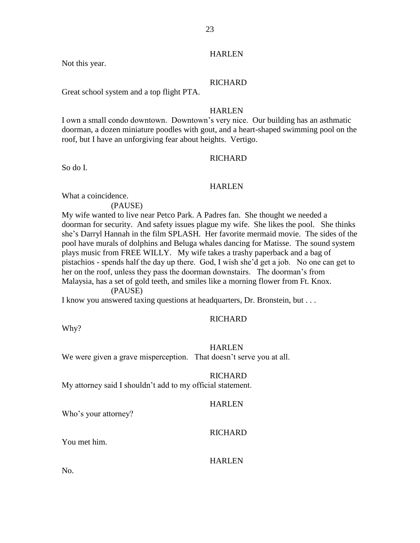## HARLEN

Not this year.

## RICHARD

Great school system and a top flight PTA.

## **HARLEN**

I own a small condo downtown. Downtown's very nice. Our building has an asthmatic doorman, a dozen miniature poodles with gout, and a heart-shaped swimming pool on the roof, but I have an unforgiving fear about heights. Vertigo.

## RICHARD

So do I.

## **HARLEN**

What a coincidence.

(PAUSE)

My wife wanted to live near Petco Park. A Padres fan. She thought we needed a doorman for security. And safety issues plague my wife. She likes the pool. She thinks she's Darryl Hannah in the film SPLASH. Her favorite mermaid movie. The sides of the pool have murals of dolphins and Beluga whales dancing for Matisse. The sound system plays music from FREE WILLY. My wife takes a trashy paperback and a bag of pistachios - spends half the day up there. God, I wish she'd get a job. No one can get to her on the roof, unless they pass the doorman downstairs. The doorman's from Malaysia, has a set of gold teeth, and smiles like a morning flower from Ft. Knox.

(PAUSE)

I know you answered taxing questions at headquarters, Dr. Bronstein, but . . .

## RICHARD

Why?

## **HARLEN**

We were given a grave misperception. That doesn't serve you at all.

## **RICHARD**

My attorney said I shouldn't add to my official statement.

## **HARLEN**

Who's your attorney?

## RICHARD

You met him.

## HARLEN

No.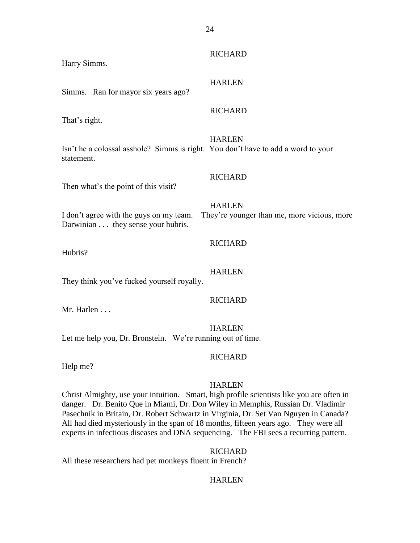| Harry Simms.                                                                                    | <b>RICHARD</b>                                               |
|-------------------------------------------------------------------------------------------------|--------------------------------------------------------------|
| Simms. Ran for mayor six years ago?                                                             | <b>HARLEN</b>                                                |
| That's right.                                                                                   | <b>RICHARD</b>                                               |
| Isn't he a colossal asshole? Simms is right. You don't have to add a word to your<br>statement. | <b>HARLEN</b>                                                |
| Then what's the point of this visit?                                                            | <b>RICHARD</b>                                               |
| I don't agree with the guys on my team.<br>Darwinian they sense your hubris.                    | <b>HARLEN</b><br>They're younger than me, more vicious, more |
| Hubris?                                                                                         | <b>RICHARD</b>                                               |
| They think you've fucked yourself royally.                                                      | <b>HARLEN</b>                                                |
| Mr. Harlen                                                                                      | <b>RICHARD</b>                                               |
|                                                                                                 |                                                              |

HARLEN Let me help you, Dr. Bronstein. We're running out of time.

## **RICHARD**

Help me?

## HARLEN

Christ Almighty, use your intuition. Smart, high profile scientists like you are often in danger. Dr. Benito Que in Miami, Dr. Don Wiley in Memphis, Russian Dr. Vladimir Pasechnik in Britain, Dr. Robert Schwartz in Virginia, Dr. Set Van Nguyen in Canada? All had died mysteriously in the span of 18 months, fifteen years ago. They were all experts in infectious diseases and DNA sequencing. The FBI sees a recurring pattern.

RICHARD

All these researchers had pet monkeys fluent in French?

## HARLEN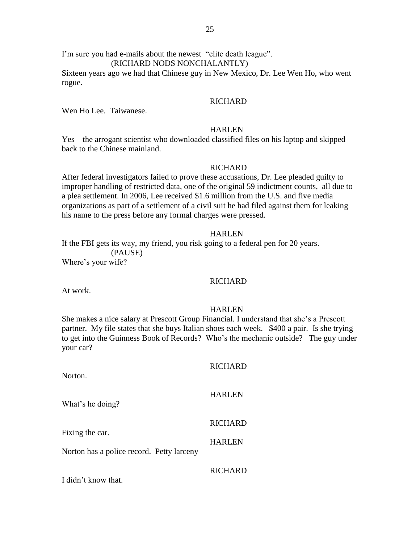(RICHARD NODS NONCHALANTLY)

Sixteen years ago we had that Chinese guy in New Mexico, Dr. Lee Wen Ho, who went rogue.

#### **RICHARD**

Wen Ho Lee. Taiwanese.

#### HARLEN

Yes – the arrogant scientist who downloaded classified files on his laptop and skipped back to the Chinese mainland.

#### RICHARD

After federal investigators failed to prove these accusations, Dr. Lee pleaded guilty to improper handling of restricted data, one of the original 59 indictment counts, all due to a plea settlement. In 2006, Lee received \$1.6 million from the U.S. and five media organizations as part of a settlement of a civil suit he had filed against them for leaking his name to the press before any formal charges were pressed.

#### **HARLEN**

If the FBI gets its way, my friend, you risk going to a federal pen for 20 years. (PAUSE) Where's your wife?

## **RICHARD**

At work.

## HARLEN

She makes a nice salary at Prescott Group Financial. I understand that she's a Prescott partner. My file states that she buys Italian shoes each week. \$400 a pair. Is she trying to get into the Guinness Book of Records? Who's the mechanic outside? The guy under your car?

| Norton.                                                      | <b>RICHARD</b> |
|--------------------------------------------------------------|----------------|
| What's he doing?                                             | <b>HARLEN</b>  |
|                                                              | <b>RICHARD</b> |
| Fixing the car.<br>Norton has a police record. Petty larceny | <b>HARLEN</b>  |
|                                                              | RICHARD        |

I didn't know that.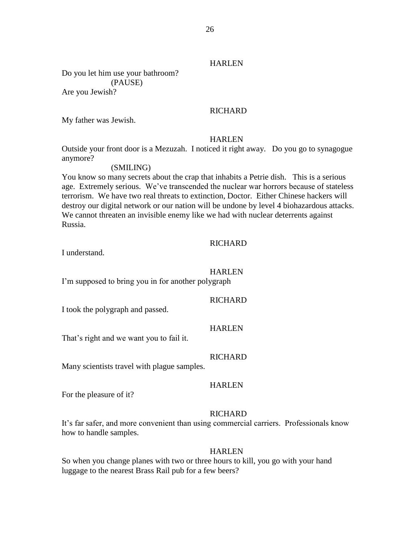## **HARLEN**

Do you let him use your bathroom? (PAUSE) Are you Jewish?

## **RICHARD**

My father was Jewish.

#### HARLEN

Outside your front door is a Mezuzah. I noticed it right away. Do you go to synagogue anymore?

## (SMILING)

You know so many secrets about the crap that inhabits a Petrie dish. This is a serious age. Extremely serious. We've transcended the nuclear war horrors because of stateless terrorism. We have two real threats to extinction, Doctor. Either Chinese hackers will destroy our digital network or our nation will be undone by level 4 biohazardous attacks. We cannot threaten an invisible enemy like we had with nuclear deterrents against Russia.

#### **RICHARD**

I understand.

#### HARLEN

I'm supposed to bring you in for another polygraph

RICHARD

I took the polygraph and passed.

**HARLEN** 

That's right and we want you to fail it.

#### **RICHARD**

Many scientists travel with plague samples.

#### HARLEN

For the pleasure of it?

#### RICHARD

It's far safer, and more convenient than using commercial carriers. Professionals know how to handle samples.

#### HARLEN

So when you change planes with two or three hours to kill, you go with your hand luggage to the nearest Brass Rail pub for a few beers?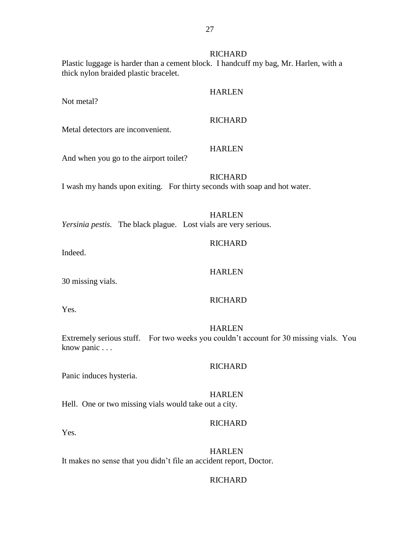## **RICHARD**

Plastic luggage is harder than a cement block. I handcuff my bag, Mr. Harlen, with a thick nylon braided plastic bracelet.

Not metal?

# HARLEN

## **RICHARD**

**HARLEN** 

Metal detectors are inconvenient.

And when you go to the airport toilet?

**RICHARD** I wash my hands upon exiting. For thirty seconds with soap and hot water.

HARLEN

*Yersinia pestis.* The black plague. Lost vials are very serious.

Indeed.

#### HARLEN

**RICHARD** 

30 missing vials.

#### RICHARD

Yes.

HARLEN Extremely serious stuff. For two weeks you couldn't account for 30 missing vials. You know panic . . .

#### **RICHARD**

Panic induces hysteria.

HARLEN Hell. One or two missing vials would take out a city.

## **RICHARD**

Yes.

HARLEN It makes no sense that you didn't file an accident report, Doctor.

## **RICHARD**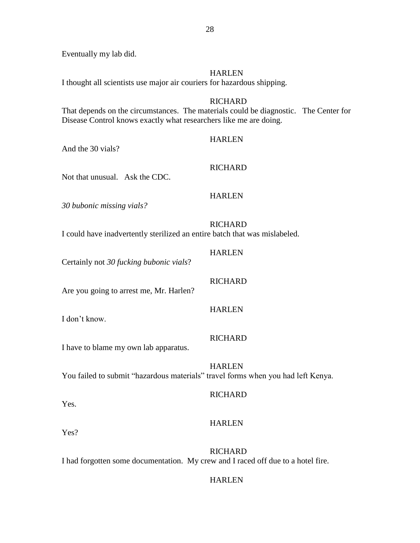Eventually my lab did.

## HARLEN

I thought all scientists use major air couriers for hazardous shipping.

## RICHARD

That depends on the circumstances. The materials could be diagnostic. The Center for Disease Control knows exactly what researchers like me are doing.

## HARLEN

And the 30 vials?

## RICHARD

Not that unusual. Ask the CDC.

## HARLEN

*30 bubonic missing vials?* 

## RICHARD

I could have inadvertently sterilized an entire batch that was mislabeled.

| Certainly not 30 fucking bubonic vials?                                          | <b>HARLEN</b>  |
|----------------------------------------------------------------------------------|----------------|
| Are you going to arrest me, Mr. Harlen?                                          | <b>RICHARD</b> |
| I don't know.                                                                    | <b>HARLEN</b>  |
| I have to blame my own lab apparatus.                                            | <b>RICHARD</b> |
| You failed to submit "hazardous materials" travel forms when you had left Kenya. | <b>HARLEN</b>  |
| Yes.                                                                             | <b>RICHARD</b> |

## HARLEN

Yes?

**RICHARD** I had forgotten some documentation. My crew and I raced off due to a hotel fire.

## HARLEN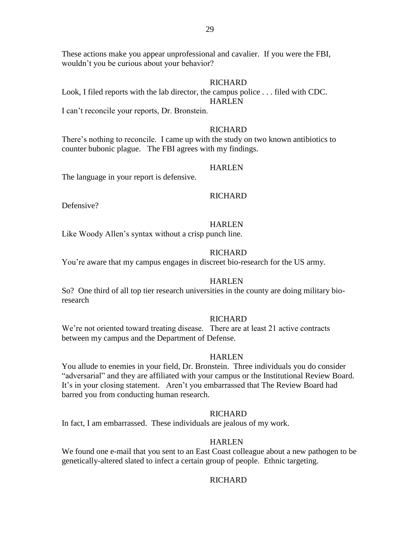These actions make you appear unprofessional and cavalier. If you were the FBI, wouldn't you be curious about your behavior?

#### RICHARD

Look, I filed reports with the lab director, the campus police . . . filed with CDC. HARLEN

I can't reconcile your reports, Dr. Bronstein.

#### **RICHARD**

There's nothing to reconcile. I came up with the study on two known antibiotics to counter bubonic plague. The FBI agrees with my findings.

#### HARLEN

The language in your report is defensive.

#### RICHARD

Defensive?

## HARLEN

Like Woody Allen's syntax without a crisp punch line.

## **RICHARD**

You're aware that my campus engages in discreet bio-research for the US army.

#### HARLEN

So? One third of all top tier research universities in the county are doing military bioresearch

#### RICHARD

We're not oriented toward treating disease. There are at least 21 active contracts between my campus and the Department of Defense.

#### **HARLEN**

You allude to enemies in your field, Dr. Bronstein. Three individuals you do consider "adversarial" and they are affiliated with your campus or the Institutional Review Board. It's in your closing statement. Aren't you embarrassed that The Review Board had barred you from conducting human research.

#### RICHARD

In fact, I am embarrassed. These individuals are jealous of my work.

#### HARLEN

We found one e-mail that you sent to an East Coast colleague about a new pathogen to be genetically-altered slated to infect a certain group of people. Ethnic targeting.

#### **RICHARD**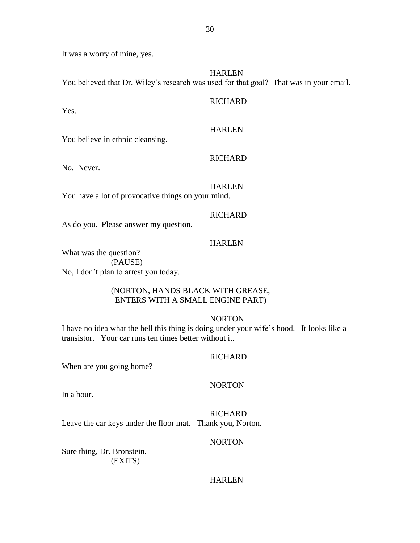It was a worry of mine, yes.

HARLEN

You believed that Dr. Wiley's research was used for that goal? That was in your email.

Yes.

## **RICHARD**

## HARLEN

You believe in ethnic cleansing.

## **RICHARD**

No. Never.

## HARLEN

You have a lot of provocative things on your mind.

## **RICHARD**

As do you. Please answer my question.

## HARLEN

What was the question? (PAUSE) No, I don't plan to arrest you today.

## (NORTON, HANDS BLACK WITH GREASE, ENTERS WITH A SMALL ENGINE PART)

## NORTON

I have no idea what the hell this thing is doing under your wife's hood. It looks like a transistor. Your car runs ten times better without it.

## RICHARD

When are you going home?

## NORTON

In a hour.

## RICHARD

Leave the car keys under the floor mat. Thank you, Norton.

## NORTON

Sure thing, Dr. Bronstein. (EXITS)

## HARLEN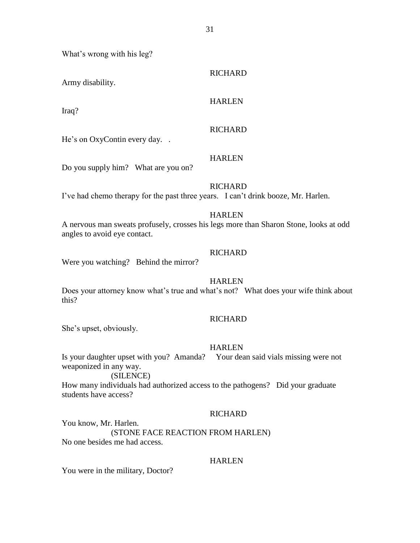31

What's wrong with his leg?

| Army disability.                                                                  | <b>RICHARD</b>                                                                                         |
|-----------------------------------------------------------------------------------|--------------------------------------------------------------------------------------------------------|
| Iraq?                                                                             | <b>HARLEN</b>                                                                                          |
| He's on OxyContin every day                                                       | <b>RICHARD</b>                                                                                         |
| Do you supply him? What are you on?                                               | <b>HARLEN</b>                                                                                          |
| I've had chemo therapy for the past three years. I can't drink booze, Mr. Harlen. | <b>RICHARD</b>                                                                                         |
| angles to avoid eye contact.                                                      | <b>HARLEN</b><br>A nervous man sweats profusely, crosses his legs more than Sharon Stone, looks at odd |

## **RICHARD**

Were you watching? Behind the mirror?

#### HARLEN

Does your attorney know what's true and what's not? What does your wife think about this?

#### RICHARD

She's upset, obviously.

#### HARLEN

Is your daughter upset with you? Amanda? Your dean said vials missing were not weaponized in any way.

## (SILENCE)

How many individuals had authorized access to the pathogens? Did your graduate students have access?

#### RICHARD

You know, Mr. Harlen. (STONE FACE REACTION FROM HARLEN) No one besides me had access.

## HARLEN

You were in the military, Doctor?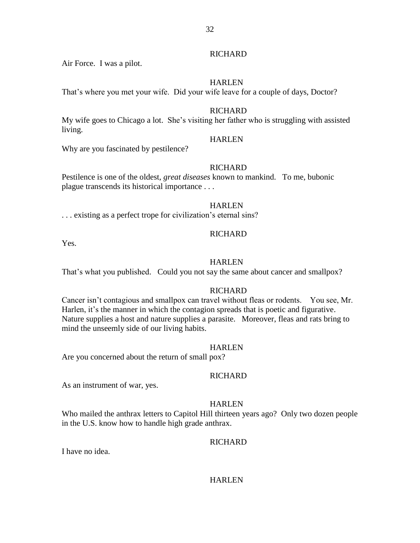## **RICHARD**

Air Force. I was a pilot.

## HARLEN

That's where you met your wife. Did your wife leave for a couple of days, Doctor?

## RICHARD

My wife goes to Chicago a lot. She's visiting her father who is struggling with assisted living.

## HARLEN

Why are you fascinated by pestilence?

## **RICHARD**

Pestilence is one of the oldest, *great diseases* known to mankind. To me, bubonic plague transcends its historical importance . . .

## **HARLEN**

. . . existing as a perfect trope for civilization's eternal sins?

## RICHARD

Yes.

## HARLEN

That's what you published. Could you not say the same about cancer and smallpox?

## **RICHARD**

Cancer isn't contagious and smallpox can travel without fleas or rodents. You see, Mr. Harlen, it's the manner in which the contagion spreads that is poetic and figurative. Nature supplies a host and nature supplies a parasite. Moreover, fleas and rats bring to mind the unseemly side of our living habits.

## **HARLEN**

Are you concerned about the return of small pox?

## RICHARD

As an instrument of war, yes.

## HARLEN

Who mailed the anthrax letters to Capitol Hill thirteen years ago? Only two dozen people in the U.S. know how to handle high grade anthrax.

## **RICHARD**

I have no idea.

## HARLEN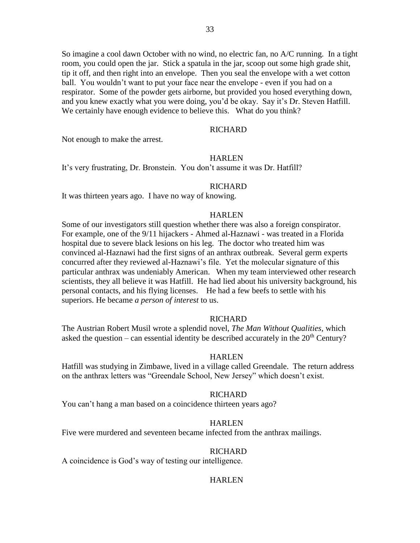So imagine a cool dawn October with no wind, no electric fan, no A/C running. In a tight room, you could open the jar. Stick a spatula in the jar, scoop out some high grade shit, tip it off, and then right into an envelope. Then you seal the envelope with a wet cotton ball. You wouldn't want to put your face near the envelope - even if you had on a respirator. Some of the powder gets airborne, but provided you hosed everything down, and you knew exactly what you were doing, you'd be okay. Say it's Dr. Steven Hatfill. We certainly have enough evidence to believe this. What do you think?

## **RICHARD**

Not enough to make the arrest.

#### **HARLEN**

It's very frustrating, Dr. Bronstein. You don't assume it was Dr. Hatfill?

#### **RICHARD**

It was thirteen years ago. I have no way of knowing.

#### HARLEN

Some of our investigators still question whether there was also a foreign conspirator. For example, one of the 9/11 hijackers - Ahmed al-Haznawi - was treated in a Florida hospital due to severe black lesions on his leg. The doctor who treated him was convinced al-Haznawi had the first signs of an anthrax outbreak. Several germ experts concurred after they reviewed al-Haznawi's file. Yet the molecular signature of this particular anthrax was undeniably American. When my team interviewed other research scientists, they all believe it was Hatfill. He had lied about his university background, his personal contacts, and his flying licenses. He had a few beefs to settle with his superiors. He became *a person of interest* to us.

#### **RICHARD**

The Austrian Robert Musil wrote a splendid novel, *The Man Without Qualities,* which asked the question – can essential identity be described accurately in the  $20<sup>th</sup>$  Century?

#### **HARLEN**

Hatfill was studying in Zimbawe, lived in a village called Greendale. The return address on the anthrax letters was "Greendale School, New Jersey" which doesn't exist.

#### **RICHARD**

You can't hang a man based on a coincidence thirteen years ago?

## HARLEN

Five were murdered and seventeen became infected from the anthrax mailings.

## **RICHARD**

A coincidence is God's way of testing our intelligence.

#### **HARLEN**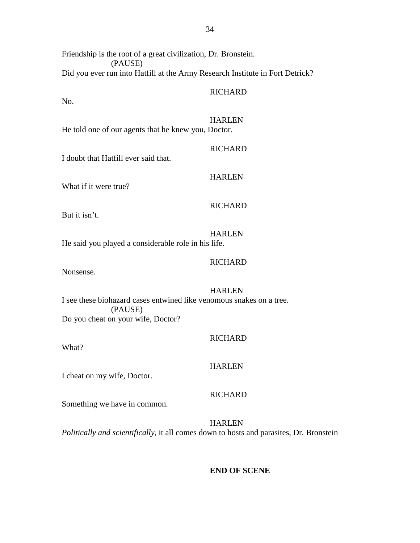Friendship is the root of a great civilization, Dr. Bronstein. (PAUSE) Did you ever run into Hatfill at the Army Research Institute in Fort Detrick?

## **RICHARD**

No.

#### HARLEN

**RICHARD** 

He told one of our agents that he knew you, Doctor.

I doubt that Hatfill ever said that.

What if it were true?

## **RICHARD**

HARLEN

But it isn't.

HARLEN He said you played a considerable role in his life.

## **RICHARD**

Nonsense.

## HARLEN

I see these biohazard cases entwined like venomous snakes on a tree. (PAUSE) Do you cheat on your wife, Doctor?

## **RICHARD**

What?

## HARLEN

## I cheat on my wife, Doctor.

## **RICHARD**

Something we have in common.

HARLEN *Politically and scientifically*, it all comes down to hosts and parasites, Dr. Bronstein

#### **END OF SCENE**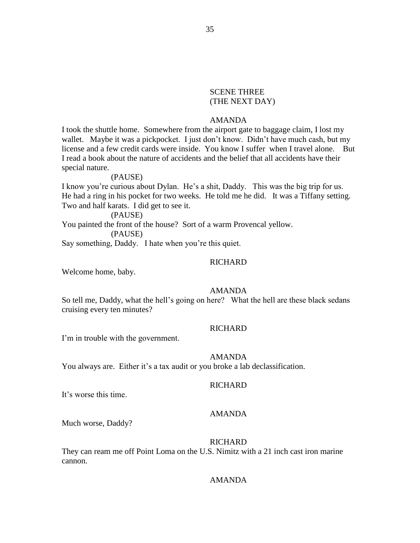## SCENE THREE (THE NEXT DAY)

## AMANDA

I took the shuttle home. Somewhere from the airport gate to baggage claim, I lost my wallet. Maybe it was a pickpocket. I just don't know. Didn't have much cash, but my license and a few credit cards were inside. You know I suffer when I travel alone. But I read a book about the nature of accidents and the belief that all accidents have their special nature.

#### (PAUSE)

I know you're curious about Dylan. He's a shit, Daddy. This was the big trip for us. He had a ring in his pocket for two weeks. He told me he did. It was a Tiffany setting. Two and half karats. I did get to see it.

(PAUSE)

You painted the front of the house? Sort of a warm Provencal yellow.

(PAUSE)

Say something, Daddy. I hate when you're this quiet.

## **RICHARD**

Welcome home, baby.

## AMANDA

So tell me, Daddy, what the hell's going on here? What the hell are these black sedans cruising every ten minutes?

## **RICHARD**

I'm in trouble with the government.

#### AMANDA

You always are. Either it's a tax audit or you broke a lab declassification.

## **RICHARD**

It's worse this time.

## AMANDA

Much worse, Daddy?

#### **RICHARD**

They can ream me off Point Loma on the U.S. Nimitz with a 21 inch cast iron marine cannon.

## AMANDA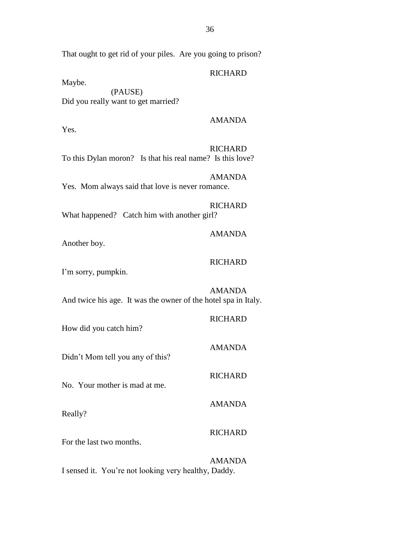That ought to get rid of your piles. Are you going to prison?

## **RICHARD**

Maybe.

(PAUSE) Did you really want to get married?

## AMANDA

Yes.

## RICHARD

To this Dylan moron? Is that his real name? Is this love?

## AMANDA

Yes. Mom always said that love is never romance.

**RICHARD** What happened? Catch him with another girl?

Another boy.

## **RICHARD**

AMANDA

I'm sorry, pumpkin.

# AMANDA

And twice his age. It was the owner of the hotel spa in Italy.

| How did you catch him?           | <b>RICHARD</b> |
|----------------------------------|----------------|
| Didn't Mom tell you any of this? | <b>AMANDA</b>  |
| No. Your mother is mad at me.    | <b>RICHARD</b> |
| Really?                          | <b>AMANDA</b>  |
| For the last two months.         | <b>RICHARD</b> |

AMANDA I sensed it. You're not looking very healthy, Daddy.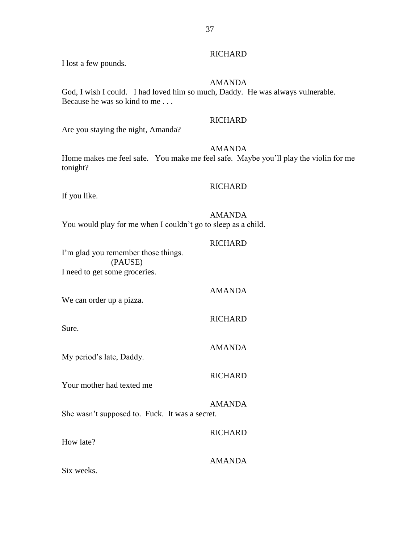I lost a few pounds.

## AMANDA

God, I wish I could. I had loved him so much, Daddy. He was always vulnerable. Because he was so kind to me . . .

### **RICHARD**

Are you staying the night, Amanda?

## AMANDA

Home makes me feel safe. You make me feel safe. Maybe you'll play the violin for me tonight?

## **RICHARD**

If you like.

## AMANDA

You would play for me when I couldn't go to sleep as a child.

## **RICHARD**

AMANDA

RICHARD

AMANDA

I'm glad you remember those things. (PAUSE) I need to get some groceries.

We can order up a pizza.

Sure.

My period's late, Daddy.

## **RICHARD**

Your mother had texted me

AMANDA She wasn't supposed to. Fuck. It was a secret.

How late?

# AMANDA

RICHARD

Six weeks.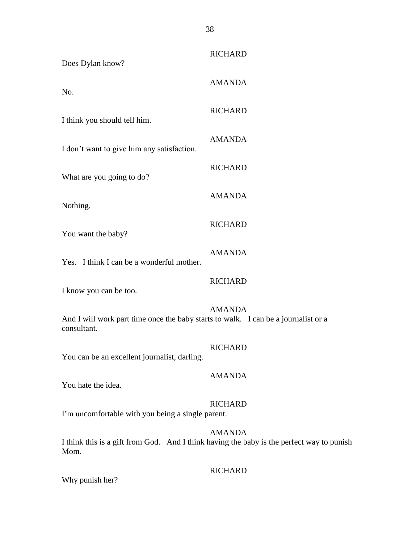| Does Dylan know?                                                                                  | <b>RICHARD</b>                                                                                             |
|---------------------------------------------------------------------------------------------------|------------------------------------------------------------------------------------------------------------|
| No.                                                                                               | <b>AMANDA</b>                                                                                              |
| I think you should tell him.                                                                      | <b>RICHARD</b>                                                                                             |
| I don't want to give him any satisfaction.                                                        | <b>AMANDA</b>                                                                                              |
| What are you going to do?                                                                         | <b>RICHARD</b>                                                                                             |
| Nothing.                                                                                          | <b>AMANDA</b>                                                                                              |
| You want the baby?                                                                                | <b>RICHARD</b>                                                                                             |
| Yes. I think I can be a wonderful mother.                                                         | <b>AMANDA</b>                                                                                              |
| I know you can be too.                                                                            | <b>RICHARD</b>                                                                                             |
| And I will work part time once the baby starts to walk. I can be a journalist or a<br>consultant. | <b>AMANDA</b>                                                                                              |
| You can be an excellent journalist, darling.                                                      | <b>RICHARD</b>                                                                                             |
| You hate the idea.                                                                                | <b>AMANDA</b>                                                                                              |
| I'm uncomfortable with you being a single parent.                                                 | <b>RICHARD</b>                                                                                             |
| Mom.                                                                                              | <b>AMANDA</b><br>I think this is a gift from God. And I think having the baby is the perfect way to punish |
|                                                                                                   | <b>RICHARD</b>                                                                                             |

Why punish her?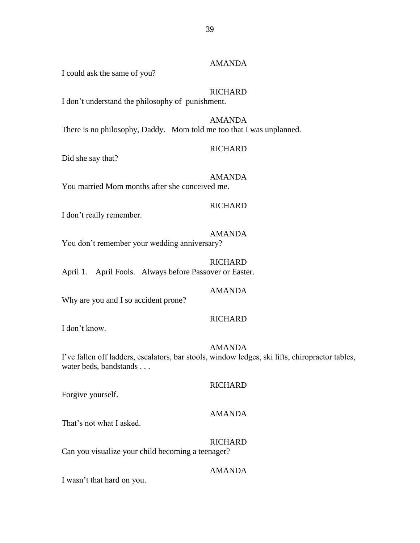## AMANDA

I could ask the same of you?

## **RICHARD**

I don't understand the philosophy of punishment.

AMANDA There is no philosophy, Daddy. Mom told me too that I was unplanned.

### **RICHARD**

Did she say that?

AMANDA You married Mom months after she conceived me.

### **RICHARD**

I don't really remember.

## AMANDA

You don't remember your wedding anniversary?

**RICHARD** April 1. April Fools. Always before Passover or Easter.

## AMANDA

Why are you and I so accident prone?

## RICHARD

I don't know.

### AMANDA

I've fallen off ladders, escalators, bar stools, window ledges, ski lifts, chiropractor tables, water beds, bandstands . . .

## **RICHARD**

Forgive yourself.

#### AMANDA

That's not what I asked.

**RICHARD** 

Can you visualize your child becoming a teenager?

## AMANDA

I wasn't that hard on you.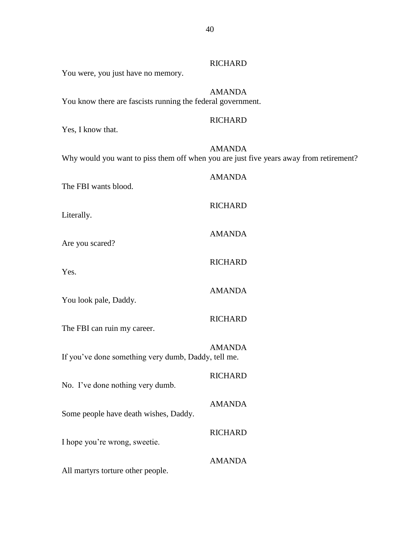| You were, you just have no memory.                          | <b>RICHARD</b>                                                                                          |
|-------------------------------------------------------------|---------------------------------------------------------------------------------------------------------|
| You know there are fascists running the federal government. | <b>AMANDA</b>                                                                                           |
| Yes, I know that.                                           | <b>RICHARD</b>                                                                                          |
|                                                             | <b>AMANDA</b><br>Why would you want to piss them off when you are just five years away from retirement? |
| The FBI wants blood.                                        | <b>AMANDA</b>                                                                                           |
| Literally.                                                  | <b>RICHARD</b>                                                                                          |
| Are you scared?                                             | <b>AMANDA</b>                                                                                           |
| Yes.                                                        | <b>RICHARD</b>                                                                                          |
| You look pale, Daddy.                                       | <b>AMANDA</b>                                                                                           |
| The FBI can ruin my career.                                 | <b>RICHARD</b>                                                                                          |
| If you've done something very dumb, Daddy, tell me.         | <b>AMANDA</b>                                                                                           |
| No. I've done nothing very dumb.                            | <b>RICHARD</b>                                                                                          |
| Some people have death wishes, Daddy.                       | <b>AMANDA</b>                                                                                           |
| I hope you're wrong, sweetie.                               | <b>RICHARD</b>                                                                                          |
| All martyrs torture other people.                           | <b>AMANDA</b>                                                                                           |
|                                                             |                                                                                                         |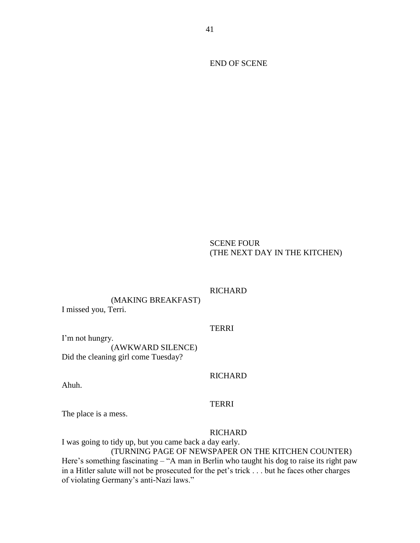END OF SCENE

## SCENE FOUR (THE NEXT DAY IN THE KITCHEN)

## **RICHARD**

(MAKING BREAKFAST) I missed you, Terri.

## **TERRI**

I'm not hungry. (AWKWARD SILENCE) Did the cleaning girl come Tuesday?

### **RICHARD**

Ahuh.

## **TERRI**

The place is a mess.

#### RICHARD

I was going to tidy up, but you came back a day early.

## (TURNING PAGE OF NEWSPAPER ON THE KITCHEN COUNTER)

Here's something fascinating – "A man in Berlin who taught his dog to raise its right paw in a Hitler salute will not be prosecuted for the pet's trick . . . but he faces other charges of violating Germany's anti-Nazi laws."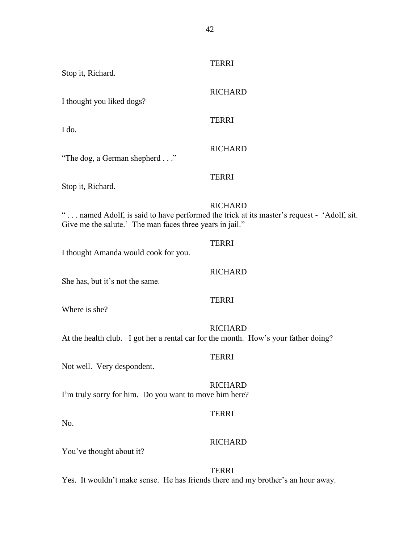| Stop it, Richard.                                                                  | <b>TERRI</b>                                                                                                |
|------------------------------------------------------------------------------------|-------------------------------------------------------------------------------------------------------------|
| I thought you liked dogs?                                                          | <b>RICHARD</b>                                                                                              |
| I do.                                                                              | <b>TERRI</b>                                                                                                |
| "The dog, a German shepherd"                                                       | <b>RICHARD</b>                                                                                              |
| Stop it, Richard.                                                                  | <b>TERRI</b>                                                                                                |
| Give me the salute.' The man faces three years in jail."                           | <b>RICHARD</b><br>" named Adolf, is said to have performed the trick at its master's request - 'Adolf, sit. |
| I thought Amanda would cook for you.                                               | <b>TERRI</b>                                                                                                |
| She has, but it's not the same.                                                    | <b>RICHARD</b>                                                                                              |
| Where is she?                                                                      | <b>TERRI</b>                                                                                                |
| At the health club. I got her a rental car for the month. How's your father doing? | <b>RICHARD</b>                                                                                              |
| Not well. Very despondent.                                                         | <b>TERRI</b>                                                                                                |
| I'm truly sorry for him. Do you want to move him here?                             | <b>RICHARD</b>                                                                                              |
| No.                                                                                | <b>TERRI</b>                                                                                                |
| You've thought about it?                                                           | <b>RICHARD</b>                                                                                              |

TERRI

Yes. It wouldn't make sense. He has friends there and my brother's an hour away.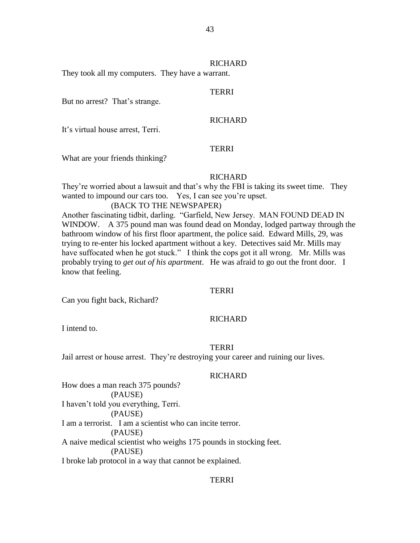### RICHARD

They took all my computers. They have a warrant.

## TERRI

But no arrest? That's strange.

## RICHARD

It's virtual house arrest, Terri.

## **TERRI**

What are your friends thinking?

## **RICHARD**

They're worried about a lawsuit and that's why the FBI is taking its sweet time. They wanted to impound our cars too. Yes, I can see you're upset.

### (BACK TO THE NEWSPAPER)

Another fascinating tidbit, darling. "Garfield, New Jersey. MAN FOUND DEAD IN WINDOW. A 375 pound man was found dead on Monday, lodged partway through the bathroom window of his first floor apartment, the police said. Edward Mills, 29, was trying to re-enter his locked apartment without a key. Detectives said Mr. Mills may have suffocated when he got stuck." I think the cops got it all wrong. Mr. Mills was probably trying to *get out of his apartment*. He was afraid to go out the front door. I know that feeling.

### **TERRI**

Can you fight back, Richard?

### RICHARD

I intend to.

### TERRI

Jail arrest or house arrest. They're destroying your career and ruining our lives.

### **RICHARD**

How does a man reach 375 pounds? (PAUSE) I haven't told you everything, Terri. (PAUSE) I am a terrorist. I am a scientist who can incite terror. (PAUSE) A naive medical scientist who weighs 175 pounds in stocking feet. (PAUSE) I broke lab protocol in a way that cannot be explained.

## TERRI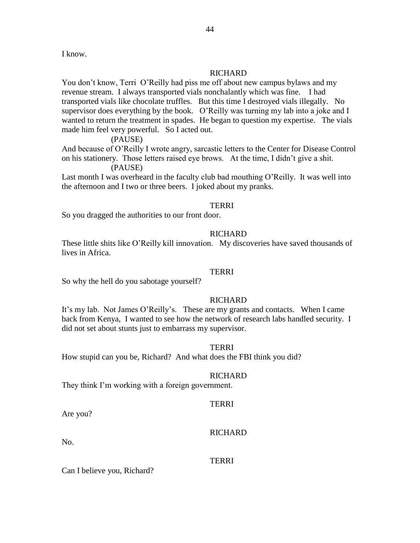I know.

## **RICHARD**

You don't know, Terri O'Reilly had piss me off about new campus bylaws and my revenue stream. I always transported vials nonchalantly which was fine. I had transported vials like chocolate truffles. But this time I destroyed vials illegally. No supervisor does everything by the book. O'Reilly was turning my lab into a joke and I wanted to return the treatment in spades. He began to question my expertise. The vials made him feel very powerful. So I acted out.

(PAUSE)

And because of O'Reilly I wrote angry, sarcastic letters to the Center for Disease Control on his stationery. Those letters raised eye brows. At the time, I didn't give a shit. (PAUSE)

Last month I was overheard in the faculty club bad mouthing O'Reilly. It was well into the afternoon and I two or three beers. I joked about my pranks.

### **TERRI**

So you dragged the authorities to our front door.

### **RICHARD**

These little shits like O'Reilly kill innovation. My discoveries have saved thousands of lives in Africa.

### TERRI

So why the hell do you sabotage yourself?

### **RICHARD**

It's my lab. Not James O'Reilly's. These are my grants and contacts. When I came back from Kenya, I wanted to see how the network of research labs handled security. I did not set about stunts just to embarrass my supervisor.

TERRI

How stupid can you be, Richard? And what does the FBI think you did?

### RICHARD

They think I'm working with a foreign government.

## **TERRI**

Are you?

### RICHARD

No.

## TERRI

Can I believe you, Richard?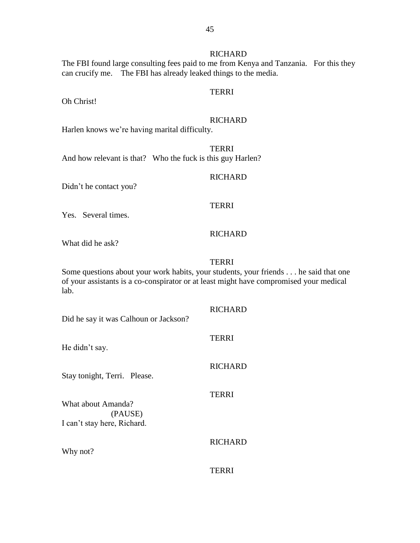## **RICHARD**

The FBI found large consulting fees paid to me from Kenya and Tanzania. For this they can crucify me. The FBI has already leaked things to the media.

## TERRI

Oh Christ!

### **RICHARD**

Harlen knows we're having marital difficulty.

**TERRI** And how relevant is that? Who the fuck is this guy Harlen?

### RICHARD

Didn't he contact you?

## **TERRI**

Yes. Several times.

## **RICHARD**

What did he ask?

## **TERRI**

Some questions about your work habits, your students, your friends . . . he said that one of your assistants is a co-conspirator or at least might have compromised your medical lab.

# **RICHARD**

Did he say it was Calhoun or Jackson?

| He didn't say.                                               | <b>TERRI</b>   |
|--------------------------------------------------------------|----------------|
| Stay tonight, Terri. Please.                                 | <b>RICHARD</b> |
| What about Amanda?<br>(PAUSE)<br>I can't stay here, Richard. | <b>TERRI</b>   |
| Why not?                                                     | <b>RICHARD</b> |
|                                                              | TERRI          |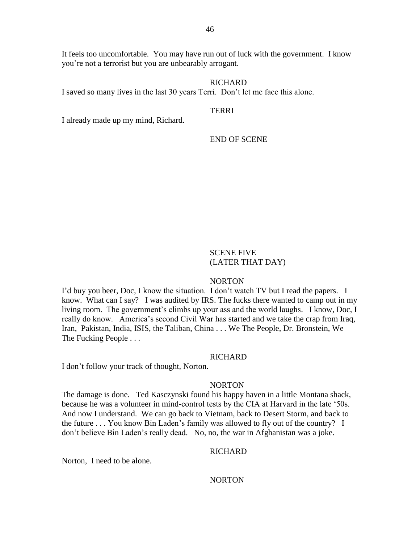It feels too uncomfortable. You may have run out of luck with the government. I know you're not a terrorist but you are unbearably arrogant.

### RICHARD

I saved so many lives in the last 30 years Terri. Don't let me face this alone.

## **TERRI**

I already made up my mind, Richard.

END OF SCENE

## SCENE FIVE (LATER THAT DAY)

### NORTON

I'd buy you beer, Doc, I know the situation. I don't watch TV but I read the papers. I know. What can I say? I was audited by IRS. The fucks there wanted to camp out in my living room. The government's climbs up your ass and the world laughs. I know, Doc, I really do know. America's second Civil War has started and we take the crap from Iraq, Iran, Pakistan, India, ISIS, the Taliban, China . . . We The People, Dr. Bronstein, We The Fucking People . . .

## **RICHARD**

I don't follow your track of thought, Norton.

### NORTON

The damage is done. Ted Kasczynski found his happy haven in a little Montana shack, because he was a volunteer in mind-control tests by the CIA at Harvard in the late '50s. And now I understand. We can go back to Vietnam, back to Desert Storm, and back to the future . . . You know Bin Laden's family was allowed to fly out of the country? I don't believe Bin Laden's really dead. No, no, the war in Afghanistan was a joke.

### **RICHARD**

Norton, I need to be alone.

### NORTON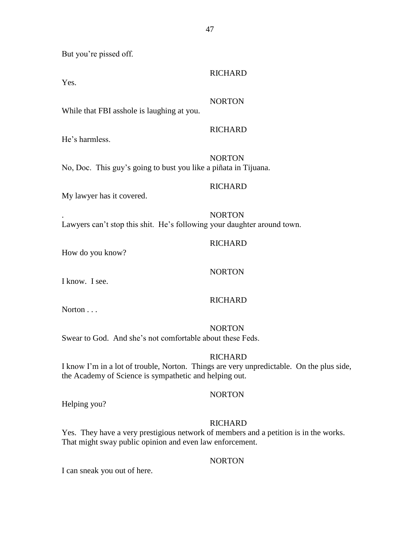But you're pissed off.

Yes.

# NORTON

RICHARD

**RICHARD** 

While that FBI asshole is laughing at you.

He's harmless.

NORTON No, Doc. This guy's going to bust you like a piñata in Tijuana.

## RICHARD

My lawyer has it covered.

. NORTON Lawyers can't stop this shit. He's following your daughter around town.

## **RICHARD**

How do you know?

NORTON

I know. I see.

## RICHARD

Norton . . .

NORTON

Swear to God. And she's not comfortable about these Feds.

## **RICHARD**

I know I'm in a lot of trouble, Norton. Things are very unpredictable. On the plus side, the Academy of Science is sympathetic and helping out.

## NORTON

Helping you?

## **RICHARD**

Yes. They have a very prestigious network of members and a petition is in the works. That might sway public opinion and even law enforcement.

## NORTON

I can sneak you out of here.

47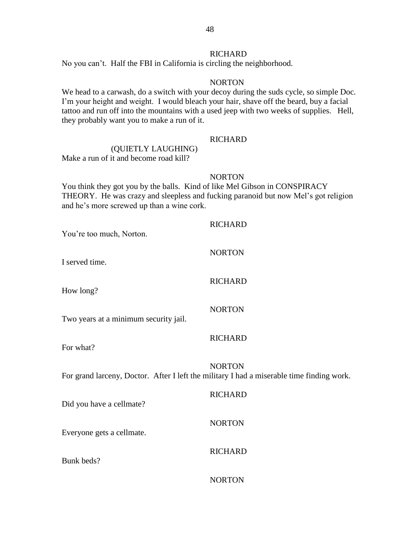## **RICHARD**

No you can't. Half the FBI in California is circling the neighborhood.

### NORTON

We head to a carwash, do a switch with your decoy during the suds cycle, so simple Doc. I'm your height and weight. I would bleach your hair, shave off the beard, buy a facial tattoo and run off into the mountains with a used jeep with two weeks of supplies. Hell, they probably want you to make a run of it.

## **RICHARD**

## (QUIETLY LAUGHING) Make a run of it and become road kill?

### NORTON

You think they got you by the balls. Kind of like Mel Gibson in CONSPIRACY THEORY. He was crazy and sleepless and fucking paranoid but now Mel's got religion and he's more screwed up than a wine cork.

| You're too much, Norton.              | <b>RICHARD</b>                                                                                             |
|---------------------------------------|------------------------------------------------------------------------------------------------------------|
| I served time.                        | <b>NORTON</b>                                                                                              |
| How long?                             | <b>RICHARD</b>                                                                                             |
| Two years at a minimum security jail. | <b>NORTON</b>                                                                                              |
| For what?                             | <b>RICHARD</b>                                                                                             |
|                                       | <b>NORTON</b><br>For grand larceny, Doctor. After I left the military I had a miserable time finding work. |
| Did you have a cellmate?              | <b>RICHARD</b>                                                                                             |
| Everyone gets a cellmate.             | <b>NORTON</b>                                                                                              |
| Bunk beds?                            | <b>RICHARD</b>                                                                                             |
|                                       | <b>NORTON</b>                                                                                              |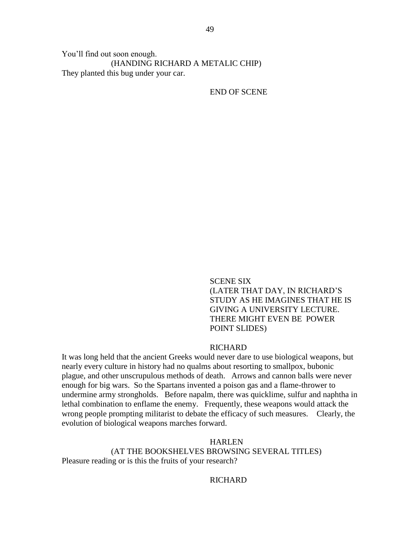You'll find out soon enough. (HANDING RICHARD A METALIC CHIP) They planted this bug under your car.

END OF SCENE

SCENE SIX (LATER THAT DAY, IN RICHARD'S STUDY AS HE IMAGINES THAT HE IS GIVING A UNIVERSITY LECTURE. THERE MIGHT EVEN BE POWER POINT SLIDES)

### RICHARD

It was long held that the ancient Greeks would never dare to use biological weapons, but nearly every culture in history had no qualms about resorting to smallpox, bubonic plague, and other unscrupulous methods of death. Arrows and cannon balls were never enough for big wars. So the Spartans invented a poison gas and a flame-thrower to undermine army strongholds. Before napalm, there was quicklime, sulfur and naphtha in lethal combination to enflame the enemy. Frequently, these weapons would attack the wrong people prompting militarist to debate the efficacy of such measures. Clearly, the evolution of biological weapons marches forward.

HARLEN

(AT THE BOOKSHELVES BROWSING SEVERAL TITLES) Pleasure reading or is this the fruits of your research?

**RICHARD**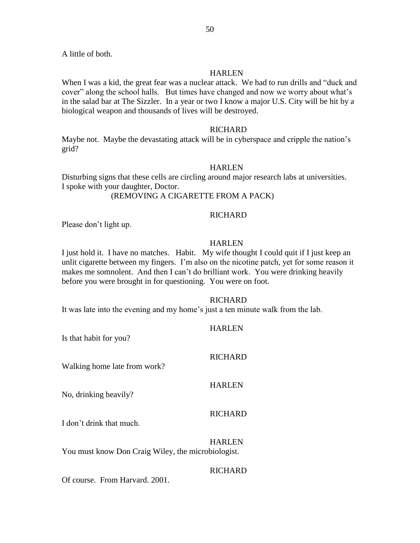A little of both.

### **HARLEN**

When I was a kid, the great fear was a nuclear attack. We had to run drills and "duck and cover" along the school halls. But times have changed and now we worry about what's in the salad bar at The Sizzler. In a year or two I know a major U.S. City will be hit by a biological weapon and thousands of lives will be destroyed.

### **RICHARD**

Maybe not. Maybe the devastating attack will be in cyberspace and cripple the nation's grid?

### HARLEN

Disturbing signs that these cells are circling around major research labs at universities. I spoke with your daughter, Doctor. (REMOVING A CIGARETTE FROM A PACK)

### **RICHARD**

Please don't light up.

### HARLEN

I just hold it. I have no matches. Habit. My wife thought I could quit if I just keep an unlit cigarette between my fingers. I'm also on the nicotine patch, yet for some reason it makes me somnolent. And then I can't do brilliant work. You were drinking heavily before you were brought in for questioning. You were on foot.

### **RICHARD**

It was late into the evening and my home's just a ten minute walk from the lab.

## HARLEN

Is that habit for you?

### RICHARD

Walking home late from work?

## HARLEN

No, drinking heavily?

### RICHARD

I don't drink that much.

HARLEN You must know Don Craig Wiley, the microbiologist.

### **RICHARD**

Of course. From Harvard. 2001.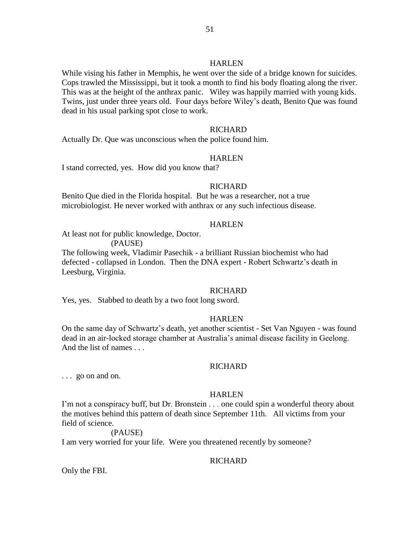### **HARLEN**

While vising his father in Memphis, he went over the side of a bridge known for suicides. Cops trawled the Mississippi, but it took a month to find his body floating along the river. This was at the height of the anthrax panic. Wiley was happily married with young kids. Twins, just under three years old. Four days before Wiley's death, Benito Que was found dead in his usual parking spot close to work.

## **RICHARD**

Actually Dr. Que was unconscious when the police found him.

### HARLEN

I stand corrected, yes. How did you know that?

### **RICHARD**

Benito Que died in the Florida hospital. But he was a researcher, not a true microbiologist. He never worked with anthrax or any such infectious disease.

### HARLEN

At least not for public knowledge, Doctor.

(PAUSE)

The following week, Vladimir Pasechik - a brilliant Russian biochemist who had defected - collapsed in London. Then the DNA expert - Robert Schwartz's death in Leesburg, Virginia.

## **RICHARD**

Yes, yes. Stabbed to death by a two foot long sword.

### HARLEN

On the same day of Schwartz's death, yet another scientist - Set Van Nguyen - was found dead in an air-locked storage chamber at Australia's animal disease facility in Geelong. And the list of names . . .

### RICHARD

. . . go on and on.

### **HARLEN**

I'm not a conspiracy buff, but Dr. Bronstein . . . one could spin a wonderful theory about the motives behind this pattern of death since September 11th. All victims from your field of science.

### (PAUSE)

I am very worried for your life. Were you threatened recently by someone?

## RICHARD

Only the FBI.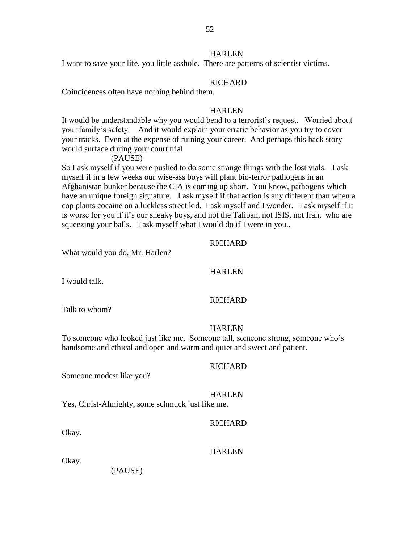## **HARLEN**

I want to save your life, you little asshole. There are patterns of scientist victims.

## RICHARD

Coincidences often have nothing behind them.

## **HARLEN**

It would be understandable why you would bend to a terrorist's request. Worried about your family's safety. And it would explain your erratic behavior as you try to cover your tracks. Even at the expense of ruining your career. And perhaps this back story would surface during your court trial

## (PAUSE)

So I ask myself if you were pushed to do some strange things with the lost vials. I ask myself if in a few weeks our wise-ass boys will plant bio-terror pathogens in an Afghanistan bunker because the CIA is coming up short. You know, pathogens which have an unique foreign signature. I ask myself if that action is any different than when a cop plants cocaine on a luckless street kid. I ask myself and I wonder. I ask myself if it is worse for you if it's our sneaky boys, and not the Taliban, not ISIS, not Iran, who are squeezing your balls. I ask myself what I would do if I were in you..

### RICHARD

What would you do, Mr. Harlen?

### HARLEN

I would talk.

### RICHARD

Talk to whom?

## HARLEN

To someone who looked just like me. Someone tall, someone strong, someone who's handsome and ethical and open and warm and quiet and sweet and patient.

#### RICHARD

## Someone modest like you?

#### HARLEN

Yes, Christ-Almighty, some schmuck just like me.

## **RICHARD**

Okay.

### HARLEN

Okay.

(PAUSE)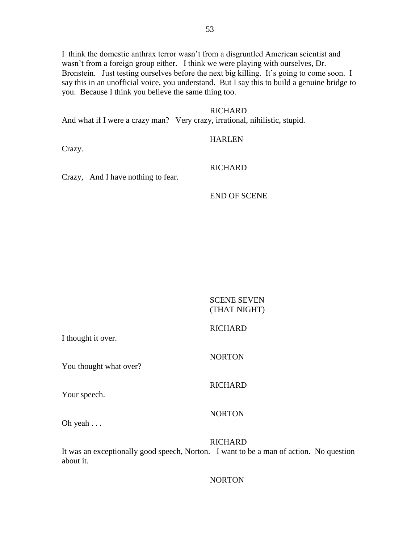I think the domestic anthrax terror wasn't from a disgruntled American scientist and wasn't from a foreign group either. I think we were playing with ourselves, Dr. Bronstein. Just testing ourselves before the next big killing. It's going to come soon. I say this in an unofficial voice, you understand. But I say this to build a genuine bridge to you. Because I think you believe the same thing too.

### RICHARD

And what if I were a crazy man? Very crazy, irrational, nihilistic, stupid.

### HARLEN

Crazy.

## RICHARD

Crazy, And I have nothing to fear.

### END OF SCENE

SCENE SEVEN (THAT NIGHT)

## RICHARD

NORTON

RICHARD

I thought it over.

You thought what over?

Your speech.

### NORTON

Oh yeah . . .

#### **RICHARD**

It was an exceptionally good speech, Norton. I want to be a man of action. No question about it.

### NORTON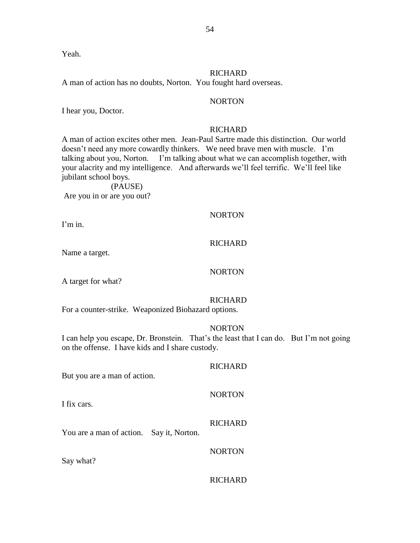Yeah.

## RICHARD

A man of action has no doubts, Norton. You fought hard overseas.

## NORTON

I hear you, Doctor.

## RICHARD

A man of action excites other men. Jean-Paul Sartre made this distinction. Our world doesn't need any more cowardly thinkers. We need brave men with muscle. I'm talking about you, Norton. I'm talking about what we can accomplish together, with your alacrity and my intelligence. And afterwards we'll feel terrific. We'll feel like jubilant school boys.

(PAUSE) Are you in or are you out?

## NORTON

I'm in.

## **RICHARD**

Name a target.

## NORTON

A target for what?

## RICHARD

For a counter-strike. Weaponized Biohazard options.

## NORTON

I can help you escape, Dr. Bronstein. That's the least that I can do. But I'm not going on the offense. I have kids and I share custody.

# RICHARD But you are a man of action. NORTON I fix cars. **RICHARD** You are a man of action. Say it, Norton. NORTON Say what?

## **RICHARD**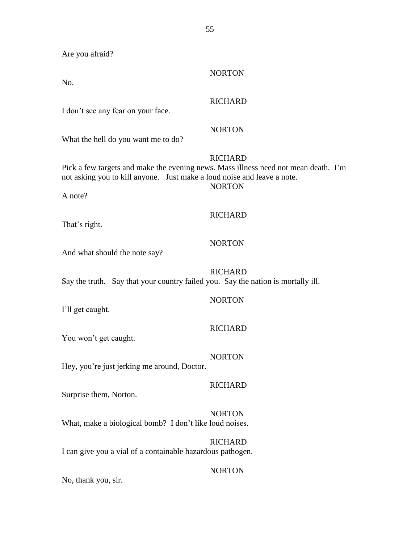Are you afraid?

No.

NORTON

## **RICHARD**

I don't see any fear on your face.

## NORTON

What the hell do you want me to do?

## **RICHARD**

Pick a few targets and make the evening news. Mass illness need not mean death. I'm not asking you to kill anyone. Just make a loud noise and leave a note. **NORTON** 

A note?

## **RICHARD**

That's right.

## NORTON

And what should the note say?

## RICHARD

Say the truth. Say that your country failed you. Say the nation is mortally ill.

## NORTON

I'll get caught.

## **RICHARD**

You won't get caught.

## NORTON

Hey, you're just jerking me around, Doctor.

## RICHARD

Surprise them, Norton.

## NORTON

What, make a biological bomb? I don't like loud noises.

RICHARD I can give you a vial of a containable hazardous pathogen.

## NORTON

No, thank you, sir.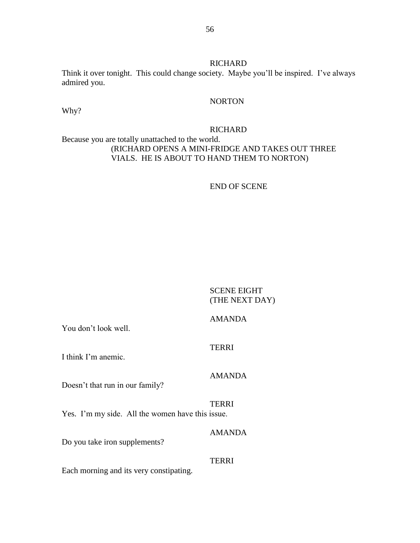**RICHARD** Think it over tonight. This could change society. Maybe you'll be inspired. I've always admired you.

## NORTON

Why?

## RICHARD

## Because you are totally unattached to the world. (RICHARD OPENS A MINI-FRIDGE AND TAKES OUT THREE VIALS. HE IS ABOUT TO HAND THEM TO NORTON)

## END OF SCENE

## SCENE EIGHT (THE NEXT DAY)

## AMANDA

You don't look well.

TERRI

## I think I'm anemic.

## AMANDA

Doesn't that run in our family?

TERRI Yes. I'm my side. All the women have this issue.

Do you take iron supplements?

### TERRI

AMANDA

Each morning and its very constipating.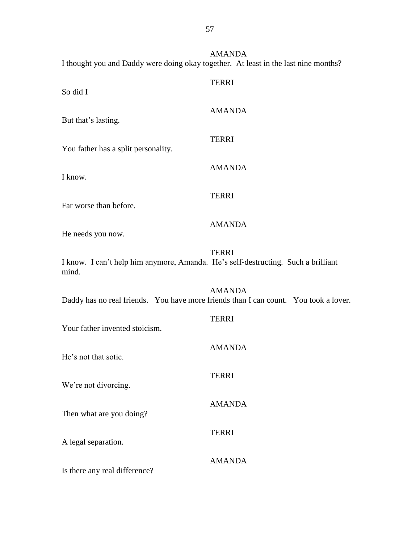AMANDA I thought you and Daddy were doing okay together. At least in the last nine months?

| So did I                                                                                   | <b>TERRI</b>  |
|--------------------------------------------------------------------------------------------|---------------|
| But that's lasting.                                                                        | <b>AMANDA</b> |
| You father has a split personality.                                                        | <b>TERRI</b>  |
| I know.                                                                                    | <b>AMANDA</b> |
| Far worse than before.                                                                     | <b>TERRI</b>  |
| He needs you now.                                                                          | <b>AMANDA</b> |
| I know. I can't help him anymore, Amanda. He's self-destructing. Such a brilliant<br>mind. | <b>TERRI</b>  |
| Daddy has no real friends. You have more friends than I can count. You took a lover.       | <b>AMANDA</b> |
| Your father invented stoicism.                                                             | <b>TERRI</b>  |
| He's not that sotic.                                                                       | <b>AMANDA</b> |
| We're not divorcing.                                                                       | <b>TERRI</b>  |
| Then what are you doing?                                                                   | <b>AMANDA</b> |
| A legal separation.                                                                        | <b>TERRI</b>  |
| Is there any real difference?                                                              | <b>AMANDA</b> |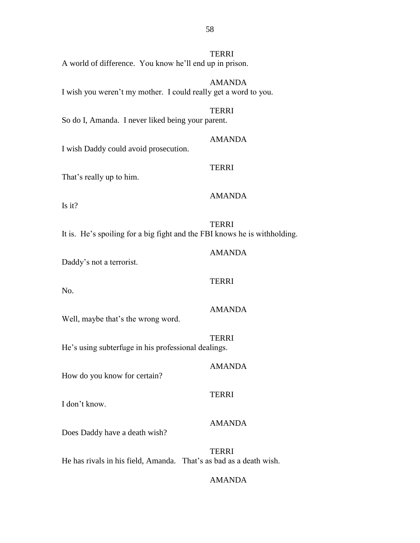| A world of difference. You know he'll end up in prison.                   | <b>TERRI</b>  |
|---------------------------------------------------------------------------|---------------|
| I wish you weren't my mother. I could really get a word to you.           | <b>AMANDA</b> |
| So do I, Amanda. I never liked being your parent.                         | <b>TERRI</b>  |
| I wish Daddy could avoid prosecution.                                     | <b>AMANDA</b> |
| That's really up to him.                                                  | <b>TERRI</b>  |
| Is it?                                                                    | <b>AMANDA</b> |
| It is. He's spoiling for a big fight and the FBI knows he is withholding. | <b>TERRI</b>  |
| Daddy's not a terrorist.                                                  | <b>AMANDA</b> |
| No.                                                                       | <b>TERRI</b>  |
| Well, maybe that's the wrong word.                                        | <b>AMANDA</b> |
|                                                                           | <b>TERRI</b>  |
| He's using subterfuge in his professional dealings.                       | <b>AMANDA</b> |
| How do you know for certain?                                              |               |
| I don't know.                                                             | <b>TERRI</b>  |
| Does Daddy have a death wish?                                             | <b>AMANDA</b> |
| He has rivals in his field, Amanda. That's as bad as a death wish.        | <b>TERRI</b>  |

## AMANDA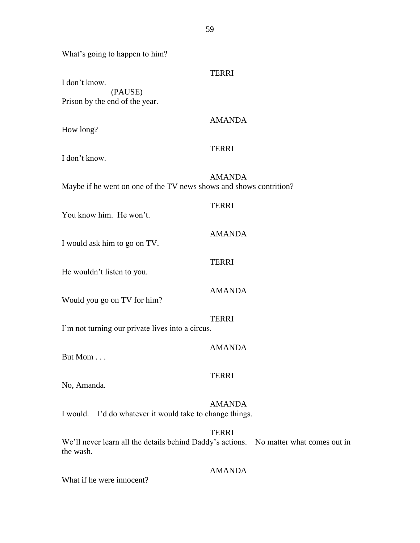What's going to happen to him?

| I don't know.                                                                                      | <b>TERRI</b>  |
|----------------------------------------------------------------------------------------------------|---------------|
| (PAUSE)<br>Prison by the end of the year.                                                          |               |
| How long?                                                                                          | <b>AMANDA</b> |
| I don't know.                                                                                      | <b>TERRI</b>  |
| Maybe if he went on one of the TV news shows and shows contrition?                                 | <b>AMANDA</b> |
| You know him. He won't.                                                                            | <b>TERRI</b>  |
| I would ask him to go on TV.                                                                       | <b>AMANDA</b> |
| He wouldn't listen to you.                                                                         | <b>TERRI</b>  |
| Would you go on TV for him?                                                                        | <b>AMANDA</b> |
| I'm not turning our private lives into a circus.                                                   | <b>TERRI</b>  |
| But Mom                                                                                            | <b>AMANDA</b> |
| No, Amanda.                                                                                        | <b>TERRI</b>  |
| I would. I'd do whatever it would take to change things.                                           | <b>AMANDA</b> |
| We'll never learn all the details behind Daddy's actions. No matter what comes out in<br>the wash. | <b>TERRI</b>  |

## AMANDA

What if he were innocent?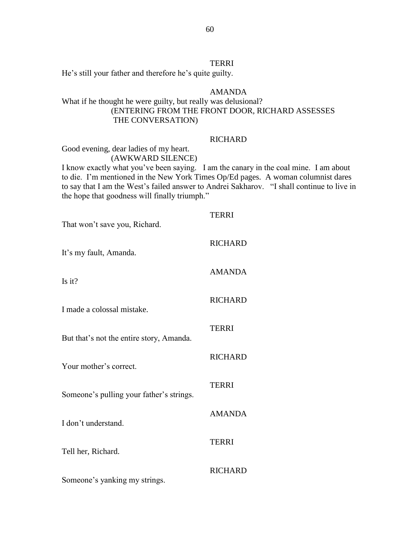## TERRI

He's still your father and therefore he's quite guilty.

## AMANDA

## What if he thought he were guilty, but really was delusional? (ENTERING FROM THE FRONT DOOR, RICHARD ASSESSES THE CONVERSATION)

### **RICHARD**

Good evening, dear ladies of my heart.

(AWKWARD SILENCE)

I know exactly what you've been saying. I am the canary in the coal mine. I am about to die. I'm mentioned in the New York Times Op/Ed pages. A woman columnist dares to say that I am the West's failed answer to Andrei Sakharov. "I shall continue to live in the hope that goodness will finally triumph."

## **TERRI**

RICHARD

AMANDA

RICHARD

RICHARD

AMANDA

TERRI

TERRI

That won't save you, Richard.

It's my fault, Amanda.

Is it?

I made a colossal mistake.

But that's not the entire story, Amanda.

Your mother's correct.

Someone's pulling your father's strings.

I don't understand.

Tell her, Richard.

RICHARD

TERRI

Someone's yanking my strings.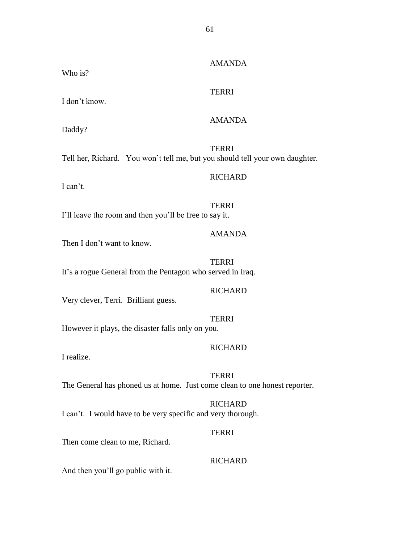## AMANDA

## TERRI

I don't know.

## AMANDA

Daddy?

Who is?

**TERRI** Tell her, Richard. You won't tell me, but you should tell your own daughter.

## RICHARD

I can't.

TERRI I'll leave the room and then you'll be free to say it.

## AMANDA

Then I don't want to know.

**TERRI** It's a rogue General from the Pentagon who served in Iraq.

### **RICHARD**

Very clever, Terri. Brilliant guess.

### TERRI

However it plays, the disaster falls only on you.

## **RICHARD**

I realize.

**TERRI** The General has phoned us at home. Just come clean to one honest reporter.

## **RICHARD**

I can't. I would have to be very specific and very thorough.

### TERRI

Then come clean to me, Richard.

## **RICHARD**

And then you'll go public with it.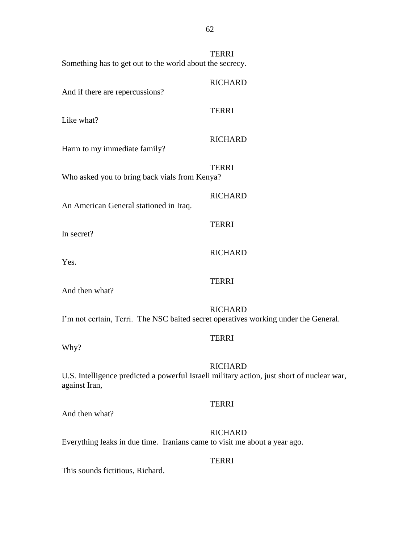| Something has to get out to the world about the secrecy.                                                    | <b>TERRI</b>   |
|-------------------------------------------------------------------------------------------------------------|----------------|
| And if there are repercussions?                                                                             | <b>RICHARD</b> |
| Like what?                                                                                                  | <b>TERRI</b>   |
| Harm to my immediate family?                                                                                | <b>RICHARD</b> |
| Who asked you to bring back vials from Kenya?                                                               | <b>TERRI</b>   |
| An American General stationed in Iraq.                                                                      | <b>RICHARD</b> |
| In secret?                                                                                                  | <b>TERRI</b>   |
| Yes.                                                                                                        | <b>RICHARD</b> |
| And then what?                                                                                              | <b>TERRI</b>   |
| I'm not certain, Terri. The NSC baited secret operatives working under the General.                         | <b>RICHARD</b> |
| Why?                                                                                                        | <b>TERRI</b>   |
| U.S. Intelligence predicted a powerful Israeli military action, just short of nuclear war,<br>against Iran, | <b>RICHARD</b> |
| And then what?                                                                                              | <b>TERRI</b>   |
| Everything leaks in due time. Iranians came to visit me about a year ago.                                   | <b>RICHARD</b> |
| This sounds fictitious, Richard.                                                                            | <b>TERRI</b>   |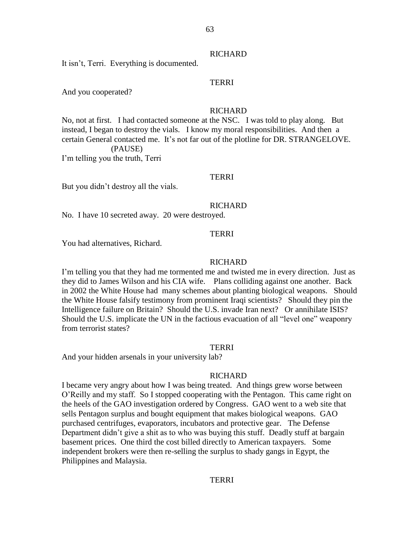#### **RICHARD**

It isn't, Terri. Everything is documented.

## TERRI

And you cooperated?

## **RICHARD**

No, not at first. I had contacted someone at the NSC. I was told to play along. But instead, I began to destroy the vials. I know my moral responsibilities. And then a certain General contacted me. It's not far out of the plotline for DR. STRANGELOVE. (PAUSE) I'm telling you the truth, Terri

### TERRI

But you didn't destroy all the vials.

### **RICHARD**

No. I have 10 secreted away. 20 were destroyed.

### **TERRI**

You had alternatives, Richard.

### **RICHARD**

I'm telling you that they had me tormented me and twisted me in every direction. Just as they did to James Wilson and his CIA wife. Plans colliding against one another. Back in 2002 the White House had many schemes about planting biological weapons. Should the White House falsify testimony from prominent Iraqi scientists? Should they pin the Intelligence failure on Britain? Should the U.S. invade Iran next? Or annihilate ISIS? Should the U.S. implicate the UN in the factious evacuation of all "level one" weaponry from terrorist states?

#### TERRI

And your hidden arsenals in your university lab?

#### **RICHARD**

I became very angry about how I was being treated. And things grew worse between O'Reilly and my staff. So I stopped cooperating with the Pentagon. This came right on the heels of the GAO investigation ordered by Congress. GAO went to a web site that sells Pentagon surplus and bought equipment that makes biological weapons. GAO purchased centrifuges, evaporators, incubators and protective gear. The Defense Department didn't give a shit as to who was buying this stuff. Deadly stuff at bargain basement prices. One third the cost billed directly to American taxpayers. Some independent brokers were then re-selling the surplus to shady gangs in Egypt, the Philippines and Malaysia.

## TERRI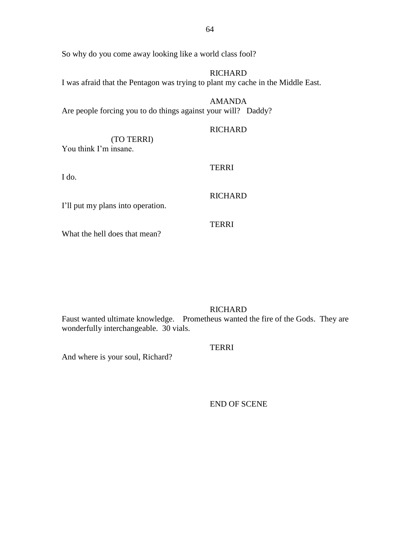So why do you come away looking like a world class fool?

**RICHARD** I was afraid that the Pentagon was trying to plant my cache in the Middle East.

AMANDA Are people forcing you to do things against your will? Daddy?

## **RICHARD**

(TO TERRI) You think I'm insane.

I do.

## TERRI

## **RICHARD**

TERRI

I'll put my plans into operation.

What the hell does that mean?

## **RICHARD**

Faust wanted ultimate knowledge. Prometheus wanted the fire of the Gods. They are wonderfully interchangeable. 30 vials.

## TERRI

And where is your soul, Richard?

END OF SCENE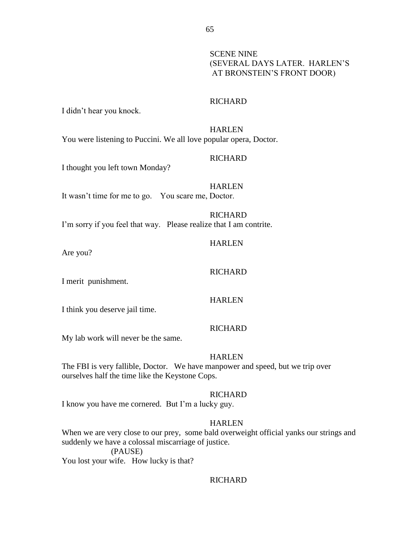SCENE NINE (SEVERAL DAYS LATER. HARLEN'S AT BRONSTEIN'S FRONT DOOR)

### **RICHARD**

I didn't hear you knock.

HARLEN You were listening to Puccini. We all love popular opera, Doctor.

## **RICHARD**

I thought you left town Monday?

**HARLEN** It wasn't time for me to go. You scare me, Doctor.

## **RICHARD**

I'm sorry if you feel that way. Please realize that I am contrite.

### HARLEN

RICHARD

Are you?

I merit punishment.

**HARLEN** 

I think you deserve jail time.

## **RICHARD**

My lab work will never be the same.

#### HARLEN

The FBI is very fallible, Doctor. We have manpower and speed, but we trip over ourselves half the time like the Keystone Cops.

### RICHARD

I know you have me cornered. But I'm a lucky guy.

### HARLEN

When we are very close to our prey, some bald overweight official yanks our strings and suddenly we have a colossal miscarriage of justice.

(PAUSE)

You lost your wife. How lucky is that?

### **RICHARD**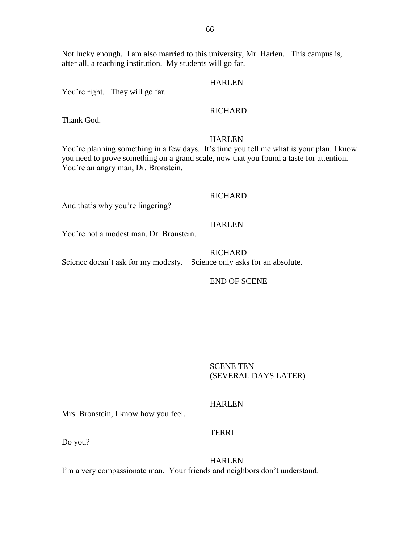Not lucky enough. I am also married to this university, Mr. Harlen. This campus is, after all, a teaching institution. My students will go far.

## HARLEN

You're right. They will go far.

## RICHARD

Thank God.

### HARLEN

You're planning something in a few days. It's time you tell me what is your plan. I know you need to prove something on a grand scale, now that you found a taste for attention. You're an angry man, Dr. Bronstein.

### **RICHARD**

And that's why you're lingering?

### HARLEN

You're not a modest man, Dr. Bronstein.

**RICHARD** Science doesn't ask for my modesty. Science only asks for an absolute.

END OF SCENE

SCENE TEN (SEVERAL DAYS LATER)

## HARLEN

Mrs. Bronstein, I know how you feel.

### TERRI

Do you?

HARLEN

I'm a very compassionate man. Your friends and neighbors don't understand.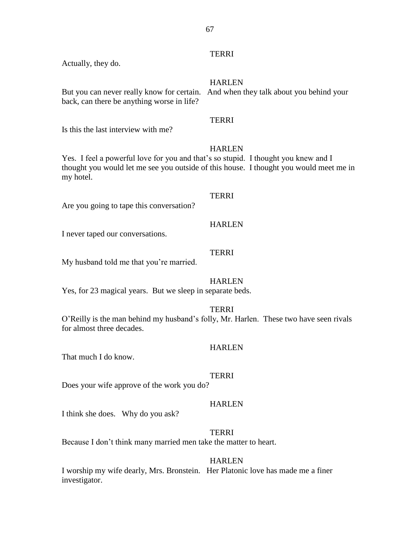## **TERRI**

Actually, they do.

HARLEN

But you can never really know for certain. And when they talk about you behind your back, can there be anything worse in life?

## **TERRI**

Is this the last interview with me?

## **HARLEN**

Yes. I feel a powerful love for you and that's so stupid. I thought you knew and I thought you would let me see you outside of this house. I thought you would meet me in my hotel.

## TERRI

**HARLEN** 

Are you going to tape this conversation?

I never taped our conversations.

## **TERRI**

My husband told me that you're married.

## **HARLEN**

Yes, for 23 magical years. But we sleep in separate beds.

**TERRI** 

O'Reilly is the man behind my husband's folly, Mr. Harlen. These two have seen rivals for almost three decades.

## **HARLEN**

That much I do know.

## **TERRI**

Does your wife approve of the work you do?

## **HARLEN**

I think she does. Why do you ask?

## TERRI

Because I don't think many married men take the matter to heart.

## HARLEN

I worship my wife dearly, Mrs. Bronstein. Her Platonic love has made me a finer investigator.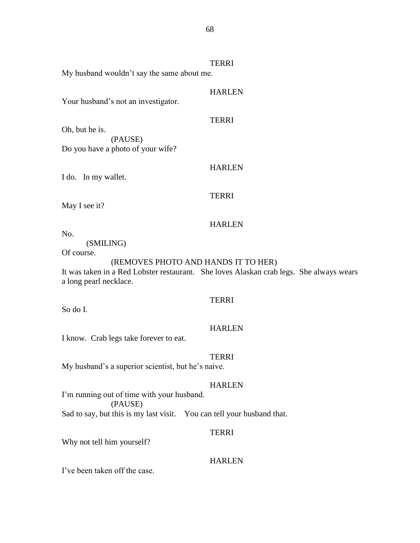TERRI My husband wouldn't say the same about me.

## HARLEN

Your husband's not an investigator.

## TERRI

Oh, but he is. (PAUSE) Do you have a photo of your wife?

## HARLEN

I do. In my wallet.

### TERRI

May I see it?

### HARLEN

No.

(SMILING)

Of course.

## (REMOVES PHOTO AND HANDS IT TO HER)

It was taken in a Red Lobster restaurant. She loves Alaskan crab legs. She always wears a long pearl necklace.

## **TERRI**

So do I.

## HARLEN

I know. Crab legs take forever to eat.

### TERRI

My husband's a superior scientist, but he's naive.

## HARLEN

I'm running out of time with your husband. (PAUSE) Sad to say, but this is my last visit. You can tell your husband that.

### TERRI

Why not tell him yourself?

## HARLEN

I've been taken off the case.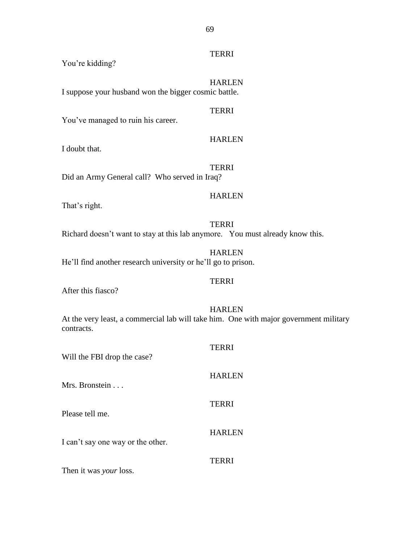## TERRI

You're kidding?

HARLEN I suppose your husband won the bigger cosmic battle.

You've managed to ruin his career.

## HARLEN

TERRI

I doubt that.

TERRI Did an Army General call? Who served in Iraq?

## HARLEN

That's right.

TERRI Richard doesn't want to stay at this lab anymore. You must already know this.

HARLEN He'll find another research university or he'll go to prison.

## TERRI

After this fiasco?

HARLEN At the very least, a commercial lab will take him. One with major government military contracts.

| Will the FBI drop the case?       | <b>TERRI</b>  |
|-----------------------------------|---------------|
| Mrs. Bronstein                    | <b>HARLEN</b> |
| Please tell me.                   | <b>TERRI</b>  |
| I can't say one way or the other. | <b>HARLEN</b> |
|                                   | TERRI         |

Then it was *your* loss.

69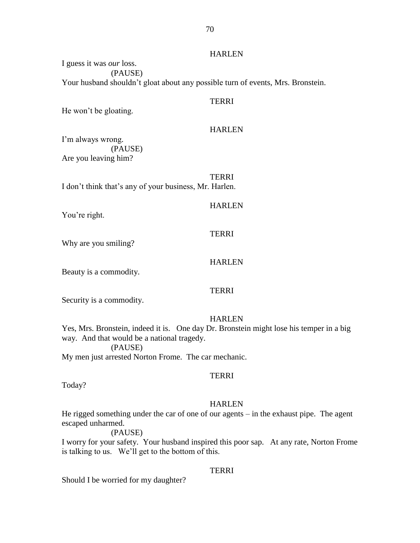## HARLEN

I guess it was *our* loss. (PAUSE) Your husband shouldn't gloat about any possible turn of events, Mrs. Bronstein.

### **TERRI**

He won't be gloating.

## HARLEN

I'm always wrong. (PAUSE) Are you leaving him?

TERRI I don't think that's any of your business, Mr. Harlen.

**HARLEN** 

You're right.

### TERRI

Why are you smiling?

## TERRI

HARLEN

Security is a commodity.

Beauty is a commodity.

### HARLEN

Yes, Mrs. Bronstein, indeed it is. One day Dr. Bronstein might lose his temper in a big way. And that would be a national tragedy. (PAUSE)

My men just arrested Norton Frome. The car mechanic.

## TERRI

Today?

### **HARLEN**

He rigged something under the car of one of our agents – in the exhaust pipe. The agent escaped unharmed.

#### (PAUSE)

I worry for your safety. Your husband inspired this poor sap. At any rate, Norton Frome is talking to us. We'll get to the bottom of this.

### TERRI

Should I be worried for my daughter?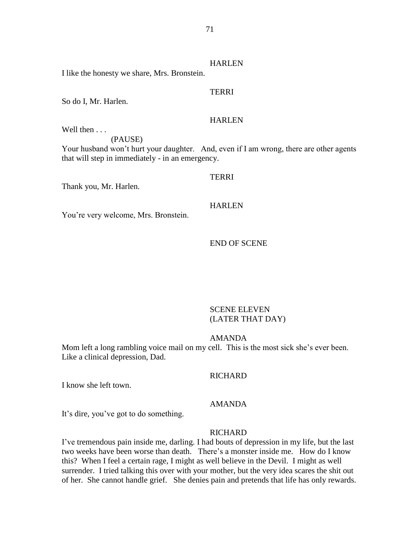## **HARLEN**

I like the honesty we share, Mrs. Bronstein.

## TERRI

So do I, Mr. Harlen.

## HARLEN

Well then . . .

(PAUSE)

Your husband won't hurt your daughter. And, even if I am wrong, there are other agents that will step in immediately - in an emergency.

## TERRI

Thank you, Mr. Harlen.

## HARLEN

You're very welcome, Mrs. Bronstein.

### END OF SCENE

## SCENE ELEVEN (LATER THAT DAY)

### AMANDA

Mom left a long rambling voice mail on my cell. This is the most sick she's ever been. Like a clinical depression, Dad.

## **RICHARD**

I know she left town.

## AMANDA

It's dire, you've got to do something.

### RICHARD

I've tremendous pain inside me, darling. I had bouts of depression in my life, but the last two weeks have been worse than death. There's a monster inside me. How do I know this? When I feel a certain rage, I might as well believe in the Devil. I might as well surrender. I tried talking this over with your mother, but the very idea scares the shit out of her. She cannot handle grief. She denies pain and pretends that life has only rewards.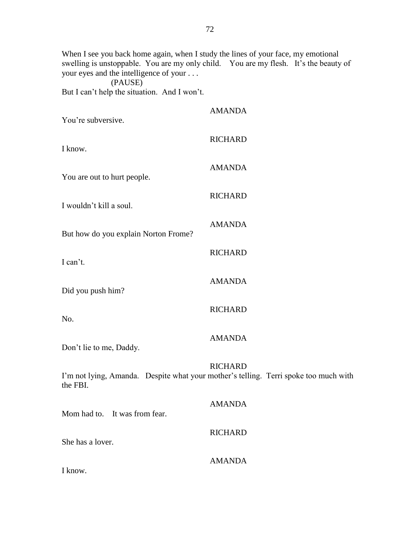When I see you back home again, when I study the lines of your face, my emotional swelling is unstoppable. You are my only child. You are my flesh. It's the beauty of your eyes and the intelligence of your . . .

(PAUSE) But I can't help the situation. And I won't.

| You're subversive.                   | <b>AMANDA</b>                                                                                          |
|--------------------------------------|--------------------------------------------------------------------------------------------------------|
| I know.                              | <b>RICHARD</b>                                                                                         |
| You are out to hurt people.          | <b>AMANDA</b>                                                                                          |
| I wouldn't kill a soul.              | <b>RICHARD</b>                                                                                         |
| But how do you explain Norton Frome? | <b>AMANDA</b>                                                                                          |
| I can't.                             | <b>RICHARD</b>                                                                                         |
| Did you push him?                    | <b>AMANDA</b>                                                                                          |
| No.                                  | <b>RICHARD</b>                                                                                         |
| Don't lie to me, Daddy.              | <b>AMANDA</b>                                                                                          |
| the FBI.                             | <b>RICHARD</b><br>I'm not lying, Amanda. Despite what your mother's telling. Terri spoke too much with |
| Mom had to. It was from fear.        | <b>AMANDA</b>                                                                                          |
| She has a lover.                     | <b>RICHARD</b>                                                                                         |
| I know.                              | <b>AMANDA</b>                                                                                          |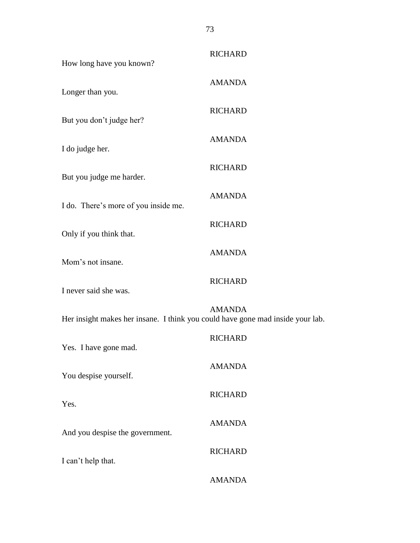| How long have you known?                                                       | <b>RICHARD</b> |
|--------------------------------------------------------------------------------|----------------|
| Longer than you.                                                               | <b>AMANDA</b>  |
| But you don't judge her?                                                       | <b>RICHARD</b> |
| I do judge her.                                                                | <b>AMANDA</b>  |
| But you judge me harder.                                                       | <b>RICHARD</b> |
| I do. There's more of you inside me.                                           | <b>AMANDA</b>  |
| Only if you think that.                                                        | <b>RICHARD</b> |
| Mom's not insane.                                                              | <b>AMANDA</b>  |
| I never said she was.                                                          | <b>RICHARD</b> |
| Her insight makes her insane. I think you could have gone mad inside your lab. | <b>AMANDA</b>  |
| Yes. I have gone mad.                                                          | <b>RICHARD</b> |
| You despise yourself.                                                          | <b>AMANDA</b>  |
|                                                                                | <b>RICHARD</b> |
| Yes.                                                                           | <b>AMANDA</b>  |
| And you despise the government.                                                | <b>RICHARD</b> |
| I can't help that.                                                             | <b>AMANDA</b>  |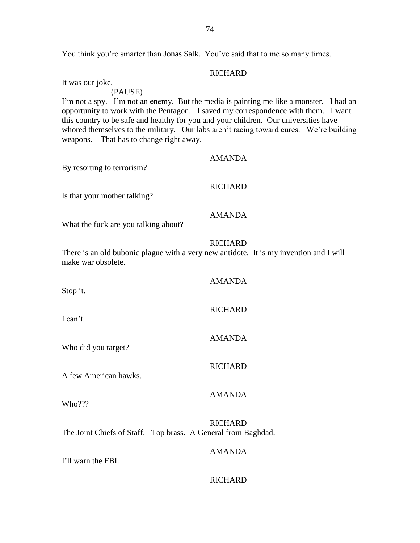You think you're smarter than Jonas Salk. You've said that to me so many times.

## **RICHARD**

It was our joke.

## (PAUSE)

I'm not a spy. I'm not an enemy. But the media is painting me like a monster. I had an opportunity to work with the Pentagon. I saved my correspondence with them. I want this country to be safe and healthy for you and your children. Our universities have whored themselves to the military. Our labs aren't racing toward cures. We're building weapons. That has to change right away.

| By resorting to terrorism?                                                                                   | <b>AMANDA</b>  |
|--------------------------------------------------------------------------------------------------------------|----------------|
| Is that your mother talking?                                                                                 | <b>RICHARD</b> |
| What the fuck are you talking about?                                                                         | <b>AMANDA</b>  |
| There is an old bubonic plague with a very new antidote. It is my invention and I will<br>make war obsolete. | <b>RICHARD</b> |
| Stop it.                                                                                                     | <b>AMANDA</b>  |
| I can't.                                                                                                     | <b>RICHARD</b> |
| Who did you target?                                                                                          | <b>AMANDA</b>  |
| A few American hawks.                                                                                        | <b>RICHARD</b> |
| Who???                                                                                                       | <b>AMANDA</b>  |
| The Joint Chiefs of Staff. Top brass. A General from Baghdad.                                                | <b>RICHARD</b> |
| I'll warn the FBI.                                                                                           | <b>AMANDA</b>  |
|                                                                                                              | <b>RICHARD</b> |